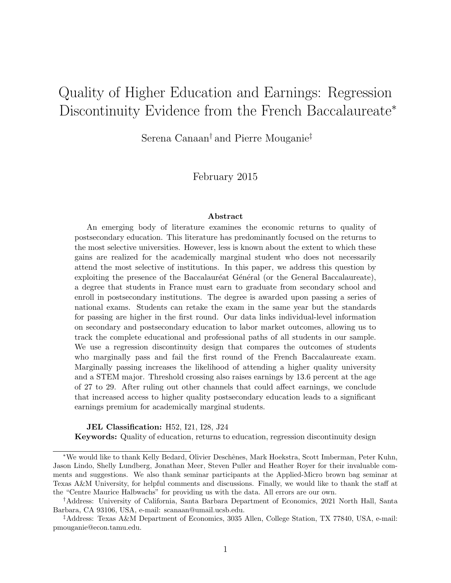# Quality of Higher Education and Earnings: Regression Discontinuity Evidence from the French Baccalaureate<sup>∗</sup>

Serena Canaan† and Pierre Mouganie‡

February 2015

#### Abstract

An emerging body of literature examines the economic returns to quality of postsecondary education. This literature has predominantly focused on the returns to the most selective universities. However, less is known about the extent to which these gains are realized for the academically marginal student who does not necessarily attend the most selective of institutions. In this paper, we address this question by exploiting the presence of the Baccalauréat Général (or the General Baccalaureate), a degree that students in France must earn to graduate from secondary school and enroll in postsecondary institutions. The degree is awarded upon passing a series of national exams. Students can retake the exam in the same year but the standards for passing are higher in the first round. Our data links individual-level information on secondary and postsecondary education to labor market outcomes, allowing us to track the complete educational and professional paths of all students in our sample. We use a regression discontinuity design that compares the outcomes of students who marginally pass and fail the first round of the French Baccalaureate exam. Marginally passing increases the likelihood of attending a higher quality university and a STEM major. Threshold crossing also raises earnings by 13.6 percent at the age of 27 to 29. After ruling out other channels that could affect earnings, we conclude that increased access to higher quality postsecondary education leads to a significant earnings premium for academically marginal students.

#### JEL Classification: H52, I21, I28, J24

Keywords: Quality of education, returns to education, regression discontinuity design

<sup>∗</sup>We would like to thank Kelly Bedard, Olivier Deschˆenes, Mark Hoekstra, Scott Imberman, Peter Kuhn, Jason Lindo, Shelly Lundberg, Jonathan Meer, Steven Puller and Heather Royer for their invaluable comments and suggestions. We also thank seminar participants at the Applied-Micro brown bag seminar at Texas A&M University, for helpful comments and discussions. Finally, we would like to thank the staff at the "Centre Maurice Halbwachs" for providing us with the data. All errors are our own.

<sup>†</sup>Address: University of California, Santa Barbara Department of Economics, 2021 North Hall, Santa Barbara, CA 93106, USA, e-mail: scanaan@umail.ucsb.edu.

<sup>‡</sup>Address: Texas A&M Department of Economics, 3035 Allen, College Station, TX 77840, USA, e-mail: pmouganie@econ.tamu.edu.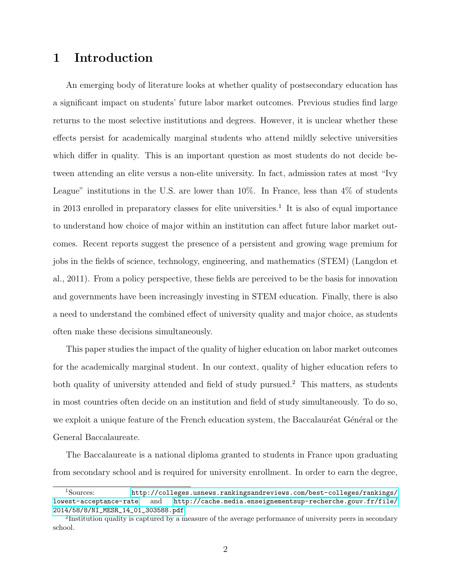### 1 Introduction

An emerging body of literature looks at whether quality of postsecondary education has a significant impact on students' future labor market outcomes. Previous studies find large returns to the most selective institutions and degrees. However, it is unclear whether these effects persist for academically marginal students who attend mildly selective universities which differ in quality. This is an important question as most students do not decide between attending an elite versus a non-elite university. In fact, admission rates at most "Ivy League" institutions in the U.S. are lower than  $10\%$ . In France, less than  $4\%$  of students in 2013 enrolled in preparatory classes for elite universities.<sup>1</sup> It is also of equal importance to understand how choice of major within an institution can affect future labor market outcomes. Recent reports suggest the presence of a persistent and growing wage premium for jobs in the fields of science, technology, engineering, and mathematics (STEM) (Langdon et al., 2011). From a policy perspective, these fields are perceived to be the basis for innovation and governments have been increasingly investing in STEM education. Finally, there is also a need to understand the combined effect of university quality and major choice, as students often make these decisions simultaneously.

This paper studies the impact of the quality of higher education on labor market outcomes for the academically marginal student. In our context, quality of higher education refers to both quality of university attended and field of study pursued.<sup>2</sup> This matters, as students in most countries often decide on an institution and field of study simultaneously. To do so, we exploit a unique feature of the French education system, the Baccalauréat Général or the General Baccalaureate.

The Baccalaureate is a national diploma granted to students in France upon graduating from secondary school and is required for university enrollment. In order to earn the degree,

<sup>1</sup>Sources: [http://colleges.usnews.rankingsandreviews.com/best-colleges/rankings/](http://colleges.usnews.rankingsandreviews.com/best-colleges/rankings/lowest-acceptance-rate) [lowest-acceptance-rate](http://colleges.usnews.rankingsandreviews.com/best-colleges/rankings/lowest-acceptance-rate) and [http://cache.media.enseignementsup-recherche.gouv.fr/file/](http://cache.media.enseignementsup-recherche.gouv.fr/file/2014/58/8/NI_MESR_14_01_303588.pdf) [2014/58/8/NI\\_MESR\\_14\\_01\\_303588.pdf](http://cache.media.enseignementsup-recherche.gouv.fr/file/2014/58/8/NI_MESR_14_01_303588.pdf)

<sup>&</sup>lt;sup>2</sup>Institution quality is captured by a measure of the average performance of university peers in secondary school.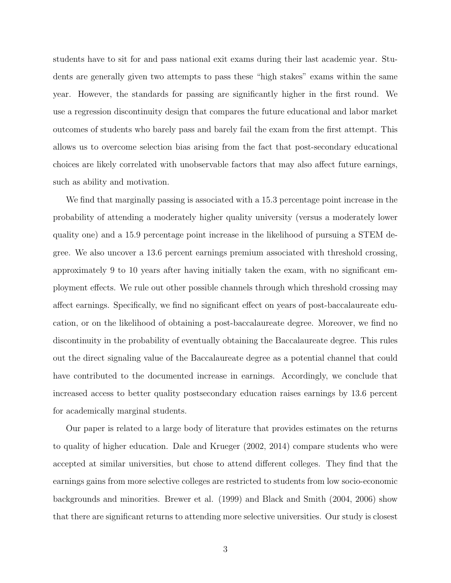students have to sit for and pass national exit exams during their last academic year. Students are generally given two attempts to pass these "high stakes" exams within the same year. However, the standards for passing are significantly higher in the first round. We use a regression discontinuity design that compares the future educational and labor market outcomes of students who barely pass and barely fail the exam from the first attempt. This allows us to overcome selection bias arising from the fact that post-secondary educational choices are likely correlated with unobservable factors that may also affect future earnings, such as ability and motivation.

We find that marginally passing is associated with a 15.3 percentage point increase in the probability of attending a moderately higher quality university (versus a moderately lower quality one) and a 15.9 percentage point increase in the likelihood of pursuing a STEM degree. We also uncover a 13.6 percent earnings premium associated with threshold crossing, approximately 9 to 10 years after having initially taken the exam, with no significant employment effects. We rule out other possible channels through which threshold crossing may affect earnings. Specifically, we find no significant effect on years of post-baccalaureate education, or on the likelihood of obtaining a post-baccalaureate degree. Moreover, we find no discontinuity in the probability of eventually obtaining the Baccalaureate degree. This rules out the direct signaling value of the Baccalaureate degree as a potential channel that could have contributed to the documented increase in earnings. Accordingly, we conclude that increased access to better quality postsecondary education raises earnings by 13.6 percent for academically marginal students.

Our paper is related to a large body of literature that provides estimates on the returns to quality of higher education. Dale and Krueger (2002, 2014) compare students who were accepted at similar universities, but chose to attend different colleges. They find that the earnings gains from more selective colleges are restricted to students from low socio-economic backgrounds and minorities. Brewer et al. (1999) and Black and Smith (2004, 2006) show that there are significant returns to attending more selective universities. Our study is closest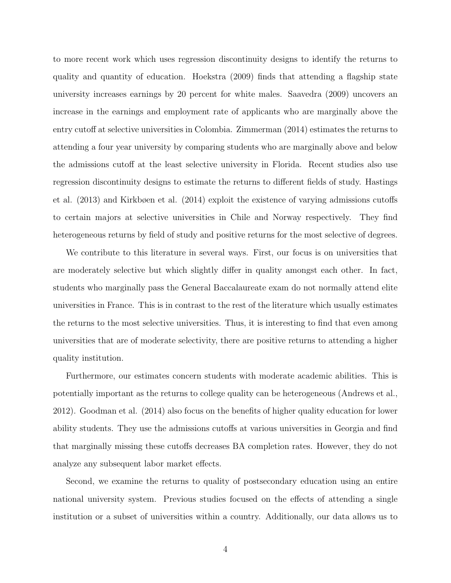to more recent work which uses regression discontinuity designs to identify the returns to quality and quantity of education. Hoekstra (2009) finds that attending a flagship state university increases earnings by 20 percent for white males. Saavedra (2009) uncovers an increase in the earnings and employment rate of applicants who are marginally above the entry cutoff at selective universities in Colombia. Zimmerman (2014) estimates the returns to attending a four year university by comparing students who are marginally above and below the admissions cutoff at the least selective university in Florida. Recent studies also use regression discontinuity designs to estimate the returns to different fields of study. Hastings et al. (2013) and Kirkbøen et al. (2014) exploit the existence of varying admissions cutoffs to certain majors at selective universities in Chile and Norway respectively. They find heterogeneous returns by field of study and positive returns for the most selective of degrees.

We contribute to this literature in several ways. First, our focus is on universities that are moderately selective but which slightly differ in quality amongst each other. In fact, students who marginally pass the General Baccalaureate exam do not normally attend elite universities in France. This is in contrast to the rest of the literature which usually estimates the returns to the most selective universities. Thus, it is interesting to find that even among universities that are of moderate selectivity, there are positive returns to attending a higher quality institution.

Furthermore, our estimates concern students with moderate academic abilities. This is potentially important as the returns to college quality can be heterogeneous (Andrews et al., 2012). Goodman et al. (2014) also focus on the benefits of higher quality education for lower ability students. They use the admissions cutoffs at various universities in Georgia and find that marginally missing these cutoffs decreases BA completion rates. However, they do not analyze any subsequent labor market effects.

Second, we examine the returns to quality of postsecondary education using an entire national university system. Previous studies focused on the effects of attending a single institution or a subset of universities within a country. Additionally, our data allows us to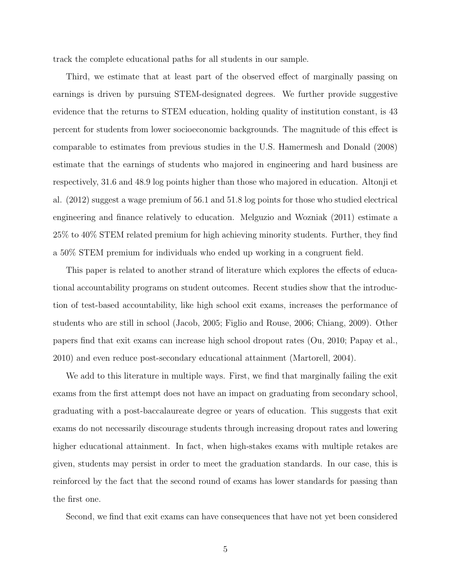track the complete educational paths for all students in our sample.

Third, we estimate that at least part of the observed effect of marginally passing on earnings is driven by pursuing STEM-designated degrees. We further provide suggestive evidence that the returns to STEM education, holding quality of institution constant, is 43 percent for students from lower socioeconomic backgrounds. The magnitude of this effect is comparable to estimates from previous studies in the U.S. Hamermesh and Donald (2008) estimate that the earnings of students who majored in engineering and hard business are respectively, 31.6 and 48.9 log points higher than those who majored in education. Altonji et al. (2012) suggest a wage premium of 56.1 and 51.8 log points for those who studied electrical engineering and finance relatively to education. Melguzio and Wozniak (2011) estimate a 25% to 40% STEM related premium for high achieving minority students. Further, they find a 50% STEM premium for individuals who ended up working in a congruent field.

This paper is related to another strand of literature which explores the effects of educational accountability programs on student outcomes. Recent studies show that the introduction of test-based accountability, like high school exit exams, increases the performance of students who are still in school (Jacob, 2005; Figlio and Rouse, 2006; Chiang, 2009). Other papers find that exit exams can increase high school dropout rates (Ou, 2010; Papay et al., 2010) and even reduce post-secondary educational attainment (Martorell, 2004).

We add to this literature in multiple ways. First, we find that marginally failing the exit exams from the first attempt does not have an impact on graduating from secondary school, graduating with a post-baccalaureate degree or years of education. This suggests that exit exams do not necessarily discourage students through increasing dropout rates and lowering higher educational attainment. In fact, when high-stakes exams with multiple retakes are given, students may persist in order to meet the graduation standards. In our case, this is reinforced by the fact that the second round of exams has lower standards for passing than the first one.

Second, we find that exit exams can have consequences that have not yet been considered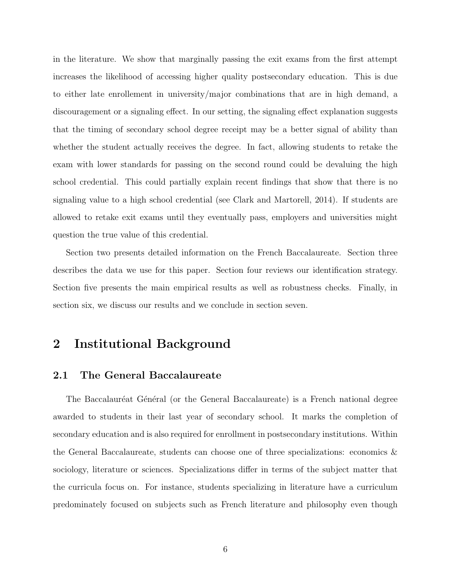in the literature. We show that marginally passing the exit exams from the first attempt increases the likelihood of accessing higher quality postsecondary education. This is due to either late enrollement in university/major combinations that are in high demand, a discouragement or a signaling effect. In our setting, the signaling effect explanation suggests that the timing of secondary school degree receipt may be a better signal of ability than whether the student actually receives the degree. In fact, allowing students to retake the exam with lower standards for passing on the second round could be devaluing the high school credential. This could partially explain recent findings that show that there is no signaling value to a high school credential (see Clark and Martorell, 2014). If students are allowed to retake exit exams until they eventually pass, employers and universities might question the true value of this credential.

Section two presents detailed information on the French Baccalaureate. Section three describes the data we use for this paper. Section four reviews our identification strategy. Section five presents the main empirical results as well as robustness checks. Finally, in section six, we discuss our results and we conclude in section seven.

### 2 Institutional Background

#### 2.1 The General Baccalaureate

The Baccalauréat Général (or the General Baccalaureate) is a French national degree awarded to students in their last year of secondary school. It marks the completion of secondary education and is also required for enrollment in postsecondary institutions. Within the General Baccalaureate, students can choose one of three specializations: economics & sociology, literature or sciences. Specializations differ in terms of the subject matter that the curricula focus on. For instance, students specializing in literature have a curriculum predominately focused on subjects such as French literature and philosophy even though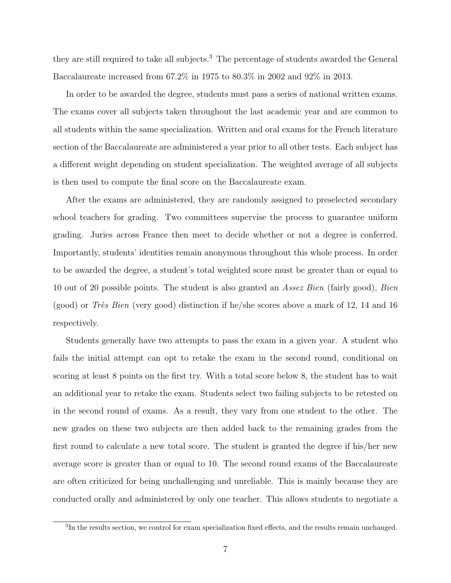they are still required to take all subjects.<sup>3</sup> The percentage of students awarded the General Baccalaureate increased from 67.2% in 1975 to 80.3% in 2002 and 92% in 2013.

In order to be awarded the degree, students must pass a series of national written exams. The exams cover all subjects taken throughout the last academic year and are common to all students within the same specialization. Written and oral exams for the French literature section of the Baccalaureate are administered a year prior to all other tests. Each subject has a different weight depending on student specialization. The weighted average of all subjects is then used to compute the final score on the Baccalaureate exam.

After the exams are administered, they are randomly assigned to preselected secondary school teachers for grading. Two committees supervise the process to guarantee uniform grading. Juries across France then meet to decide whether or not a degree is conferred. Importantly, students' identities remain anonymous throughout this whole process. In order to be awarded the degree, a student's total weighted score must be greater than or equal to 10 out of 20 possible points. The student is also granted an Assez Bien (fairly good), Bien (good) or Très Bien (very good) distinction if he/she scores above a mark of 12, 14 and 16 respectively.

Students generally have two attempts to pass the exam in a given year. A student who fails the initial attempt can opt to retake the exam in the second round, conditional on scoring at least 8 points on the first try. With a total score below 8, the student has to wait an additional year to retake the exam. Students select two failing subjects to be retested on in the second round of exams. As a result, they vary from one student to the other. The new grades on these two subjects are then added back to the remaining grades from the first round to calculate a new total score. The student is granted the degree if his/her new average score is greater than or equal to 10. The second round exams of the Baccalaureate are often criticized for being unchallenging and unreliable. This is mainly because they are conducted orally and administered by only one teacher. This allows students to negotiate a

<sup>&</sup>lt;sup>3</sup>In the results section, we control for exam specialization fixed effects, and the results remain unchanged.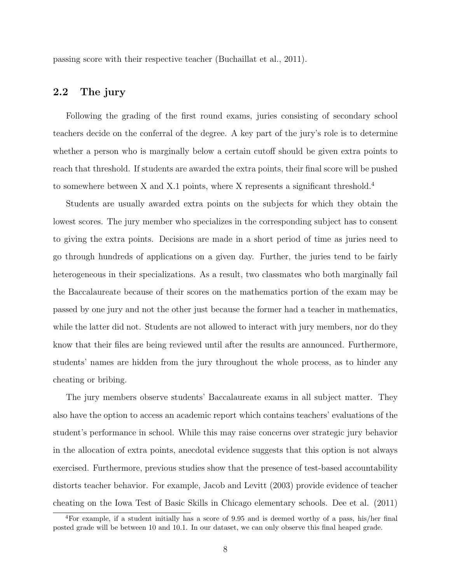passing score with their respective teacher (Buchaillat et al., 2011).

### 2.2 The jury

Following the grading of the first round exams, juries consisting of secondary school teachers decide on the conferral of the degree. A key part of the jury's role is to determine whether a person who is marginally below a certain cutoff should be given extra points to reach that threshold. If students are awarded the extra points, their final score will be pushed to somewhere between X and X.1 points, where X represents a significant threshold.<sup>4</sup>

Students are usually awarded extra points on the subjects for which they obtain the lowest scores. The jury member who specializes in the corresponding subject has to consent to giving the extra points. Decisions are made in a short period of time as juries need to go through hundreds of applications on a given day. Further, the juries tend to be fairly heterogeneous in their specializations. As a result, two classmates who both marginally fail the Baccalaureate because of their scores on the mathematics portion of the exam may be passed by one jury and not the other just because the former had a teacher in mathematics, while the latter did not. Students are not allowed to interact with jury members, nor do they know that their files are being reviewed until after the results are announced. Furthermore, students' names are hidden from the jury throughout the whole process, as to hinder any cheating or bribing.

The jury members observe students' Baccalaureate exams in all subject matter. They also have the option to access an academic report which contains teachers' evaluations of the student's performance in school. While this may raise concerns over strategic jury behavior in the allocation of extra points, anecdotal evidence suggests that this option is not always exercised. Furthermore, previous studies show that the presence of test-based accountability distorts teacher behavior. For example, Jacob and Levitt (2003) provide evidence of teacher cheating on the Iowa Test of Basic Skills in Chicago elementary schools. Dee et al. (2011)

<sup>4</sup>For example, if a student initially has a score of 9.95 and is deemed worthy of a pass, his/her final posted grade will be between 10 and 10.1. In our dataset, we can only observe this final heaped grade.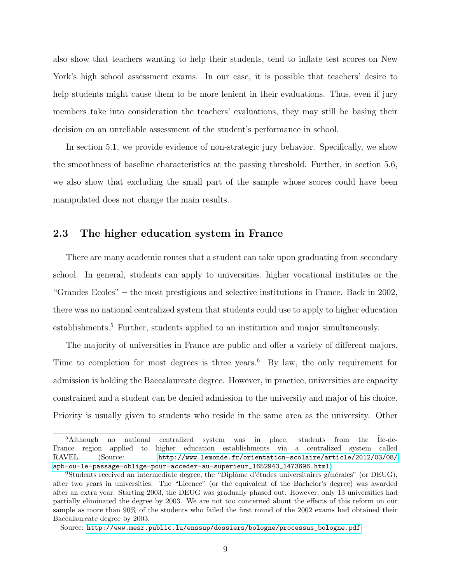also show that teachers wanting to help their students, tend to inflate test scores on New York's high school assessment exams. In our case, it is possible that teachers' desire to help students might cause them to be more lenient in their evaluations. Thus, even if jury members take into consideration the teachers' evaluations, they may still be basing their decision on an unreliable assessment of the student's performance in school.

In section 5.1, we provide evidence of non-strategic jury behavior. Specifically, we show the smoothness of baseline characteristics at the passing threshold. Further, in section 5.6, we also show that excluding the small part of the sample whose scores could have been manipulated does not change the main results.

### 2.3 The higher education system in France

There are many academic routes that a student can take upon graduating from secondary school. In general, students can apply to universities, higher vocational institutes or the "Grandes Ecoles" – the most prestigious and selective institutions in France. Back in 2002, there was no national centralized system that students could use to apply to higher education establishments.<sup>5</sup> Further, students applied to an institution and major simultaneously.

The majority of universities in France are public and offer a variety of different majors. Time to completion for most degrees is three years.<sup>6</sup> By law, the only requirement for admission is holding the Baccalaureate degree. However, in practice, universities are capacity constrained and a student can be denied admission to the university and major of his choice. Priority is usually given to students who reside in the same area as the university. Other

 $5$ Although no national centralized system was in place, students from the  $\hat{I}$ le-de-France region applied to higher education establishments via a centralized system called RAVEL. (Source: [http://www.lemonde.fr/orientation-scolaire/article/2012/03/08/](http://www.lemonde.fr/orientation-scolaire/article/2012/03/08/apb-ou-le-passage-oblige-pour-acceder-au-superieur_1652943_1473696.html) [apb-ou-le-passage-oblige-pour-acceder-au-superieur\\_1652943\\_1473696.html](http://www.lemonde.fr/orientation-scolaire/article/2012/03/08/apb-ou-le-passage-oblige-pour-acceder-au-superieur_1652943_1473696.html))

 ${}^{6}$ Students received an intermediate degree, the "Diplôme d'études universitaires générales" (or DEUG), after two years in universities. The "Licence" (or the equivalent of the Bachelor's degree) was awarded after an extra year. Starting 2003, the DEUG was gradually phased out. However, only 13 universities had partially eliminated the degree by 2003. We are not too concerned about the effects of this reform on our sample as more than 90% of the students who failed the first round of the 2002 exams had obtained their Baccalaureate degree by 2003.

Source: [http://www.mesr.public.lu/enssup/dossiers/bologne/processus\\_bologne.pdf](http://www.mesr.public.lu/enssup/dossiers/bologne/processus_bologne.pdf)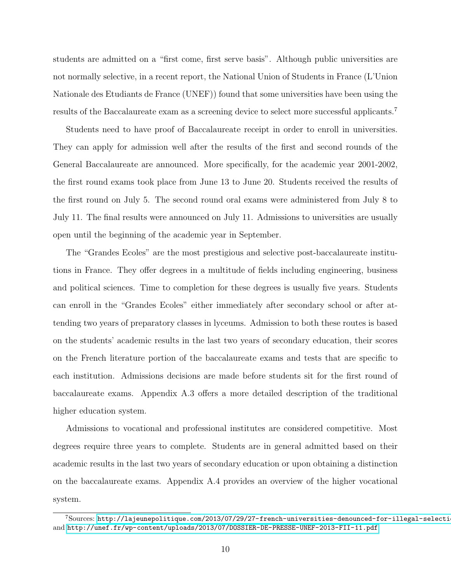students are admitted on a "first come, first serve basis". Although public universities are not normally selective, in a recent report, the National Union of Students in France (L'Union Nationale des Etudiants de France (UNEF)) found that some universities have been using the results of the Baccalaureate exam as a screening device to select more successful applicants.<sup>7</sup>

Students need to have proof of Baccalaureate receipt in order to enroll in universities. They can apply for admission well after the results of the first and second rounds of the General Baccalaureate are announced. More specifically, for the academic year 2001-2002, the first round exams took place from June 13 to June 20. Students received the results of the first round on July 5. The second round oral exams were administered from July 8 to July 11. The final results were announced on July 11. Admissions to universities are usually open until the beginning of the academic year in September.

The "Grandes Ecoles" are the most prestigious and selective post-baccalaureate institutions in France. They offer degrees in a multitude of fields including engineering, business and political sciences. Time to completion for these degrees is usually five years. Students can enroll in the "Grandes Ecoles" either immediately after secondary school or after attending two years of preparatory classes in lyceums. Admission to both these routes is based on the students' academic results in the last two years of secondary education, their scores on the French literature portion of the baccalaureate exams and tests that are specific to each institution. Admissions decisions are made before students sit for the first round of baccalaureate exams. Appendix A.3 offers a more detailed description of the traditional higher education system.

Admissions to vocational and professional institutes are considered competitive. Most degrees require three years to complete. Students are in general admitted based on their academic results in the last two years of secondary education or upon obtaining a distinction on the baccalaureate exams. Appendix A.4 provides an overview of the higher vocational system.

 $7$ Sources: http://lajeunepolitique.com/2013/07/29/27-french-universities-denounced-for-illegal-selectionand <http://unef.fr/wp-content/uploads/2013/07/DOSSIER-DE-PRESSE-UNEF-2013-FII-11.pdf>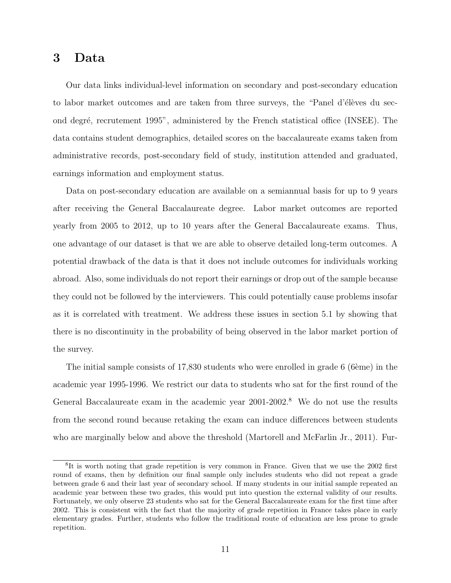### 3 Data

Our data links individual-level information on secondary and post-secondary education to labor market outcomes and are taken from three surveys, the "Panel d'élèves du second degré, recrutement 1995", administered by the French statistical office (INSEE). The data contains student demographics, detailed scores on the baccalaureate exams taken from administrative records, post-secondary field of study, institution attended and graduated, earnings information and employment status.

Data on post-secondary education are available on a semiannual basis for up to 9 years after receiving the General Baccalaureate degree. Labor market outcomes are reported yearly from 2005 to 2012, up to 10 years after the General Baccalaureate exams. Thus, one advantage of our dataset is that we are able to observe detailed long-term outcomes. A potential drawback of the data is that it does not include outcomes for individuals working abroad. Also, some individuals do not report their earnings or drop out of the sample because they could not be followed by the interviewers. This could potentially cause problems insofar as it is correlated with treatment. We address these issues in section 5.1 by showing that there is no discontinuity in the probability of being observed in the labor market portion of the survey.

The initial sample consists of  $17,830$  students who were enrolled in grade 6 (6 $\hat{e}$ me) in the academic year 1995-1996. We restrict our data to students who sat for the first round of the General Baccalaureate exam in the academic year 2001-2002.<sup>8</sup> We do not use the results from the second round because retaking the exam can induce differences between students who are marginally below and above the threshold (Martorell and McFarlin Jr., 2011). Fur-

<sup>&</sup>lt;sup>8</sup>It is worth noting that grade repetition is very common in France. Given that we use the 2002 first round of exams, then by definition our final sample only includes students who did not repeat a grade between grade 6 and their last year of secondary school. If many students in our initial sample repeated an academic year between these two grades, this would put into question the external validity of our results. Fortunately, we only observe 23 students who sat for the General Baccalaureate exam for the first time after 2002. This is consistent with the fact that the majority of grade repetition in France takes place in early elementary grades. Further, students who follow the traditional route of education are less prone to grade repetition.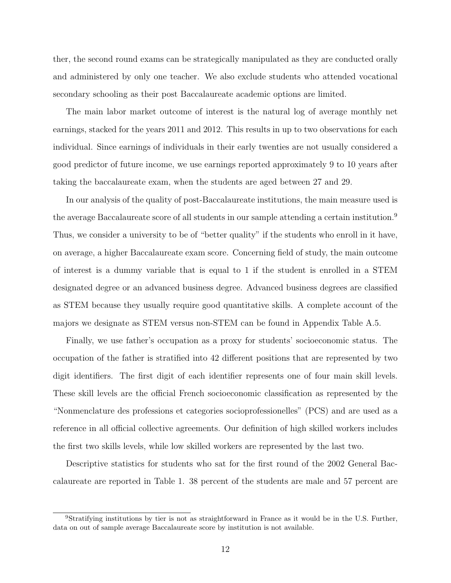ther, the second round exams can be strategically manipulated as they are conducted orally and administered by only one teacher. We also exclude students who attended vocational secondary schooling as their post Baccalaureate academic options are limited.

The main labor market outcome of interest is the natural log of average monthly net earnings, stacked for the years 2011 and 2012. This results in up to two observations for each individual. Since earnings of individuals in their early twenties are not usually considered a good predictor of future income, we use earnings reported approximately 9 to 10 years after taking the baccalaureate exam, when the students are aged between 27 and 29.

In our analysis of the quality of post-Baccalaureate institutions, the main measure used is the average Baccalaureate score of all students in our sample attending a certain institution.<sup>9</sup> Thus, we consider a university to be of "better quality" if the students who enroll in it have, on average, a higher Baccalaureate exam score. Concerning field of study, the main outcome of interest is a dummy variable that is equal to 1 if the student is enrolled in a STEM designated degree or an advanced business degree. Advanced business degrees are classified as STEM because they usually require good quantitative skills. A complete account of the majors we designate as STEM versus non-STEM can be found in Appendix Table A.5.

Finally, we use father's occupation as a proxy for students' socioeconomic status. The occupation of the father is stratified into 42 different positions that are represented by two digit identifiers. The first digit of each identifier represents one of four main skill levels. These skill levels are the official French socioeconomic classification as represented by the "Nonmenclature des professions et categories socioprofessionelles" (PCS) and are used as a reference in all official collective agreements. Our definition of high skilled workers includes the first two skills levels, while low skilled workers are represented by the last two.

Descriptive statistics for students who sat for the first round of the 2002 General Baccalaureate are reported in Table 1. 38 percent of the students are male and 57 percent are

<sup>9</sup>Stratifying institutions by tier is not as straightforward in France as it would be in the U.S. Further, data on out of sample average Baccalaureate score by institution is not available.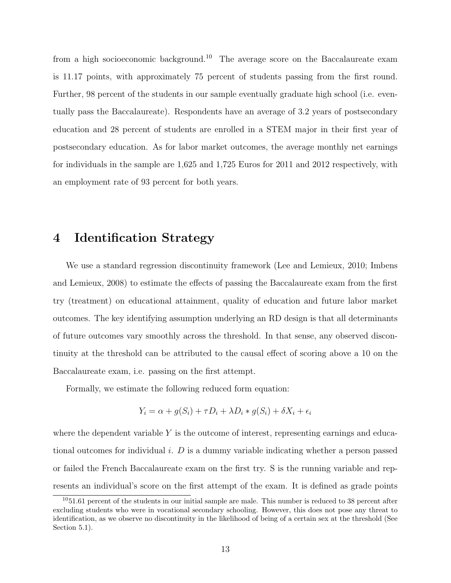from a high socioeconomic background.<sup>10</sup> The average score on the Baccalaureate exam is 11.17 points, with approximately 75 percent of students passing from the first round. Further, 98 percent of the students in our sample eventually graduate high school (i.e. eventually pass the Baccalaureate). Respondents have an average of 3.2 years of postsecondary education and 28 percent of students are enrolled in a STEM major in their first year of postsecondary education. As for labor market outcomes, the average monthly net earnings for individuals in the sample are 1,625 and 1,725 Euros for 2011 and 2012 respectively, with an employment rate of 93 percent for both years.

### 4 Identification Strategy

We use a standard regression discontinuity framework (Lee and Lemieux, 2010; Imbens and Lemieux, 2008) to estimate the effects of passing the Baccalaureate exam from the first try (treatment) on educational attainment, quality of education and future labor market outcomes. The key identifying assumption underlying an RD design is that all determinants of future outcomes vary smoothly across the threshold. In that sense, any observed discontinuity at the threshold can be attributed to the causal effect of scoring above a 10 on the Baccalaureate exam, i.e. passing on the first attempt.

Formally, we estimate the following reduced form equation:

$$
Y_i = \alpha + g(S_i) + \tau D_i + \lambda D_i * g(S_i) + \delta X_i + \epsilon_i
$$

where the dependent variable  $Y$  is the outcome of interest, representing earnings and educational outcomes for individual i.  $D$  is a dummy variable indicating whether a person passed or failed the French Baccalaureate exam on the first try. S is the running variable and represents an individual's score on the first attempt of the exam. It is defined as grade points

 $1051.61$  percent of the students in our initial sample are male. This number is reduced to 38 percent after excluding students who were in vocational secondary schooling. However, this does not pose any threat to identification, as we observe no discontinuity in the likelihood of being of a certain sex at the threshold (See Section 5.1).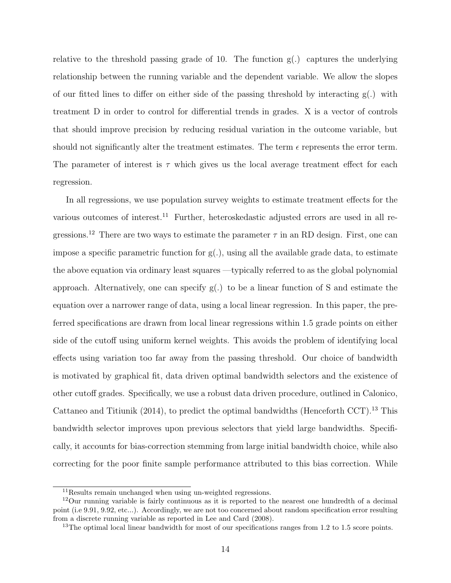relative to the threshold passing grade of 10. The function  $g(.)$  captures the underlying relationship between the running variable and the dependent variable. We allow the slopes of our fitted lines to differ on either side of the passing threshold by interacting  $g(.)$  with treatment D in order to control for differential trends in grades. X is a vector of controls that should improve precision by reducing residual variation in the outcome variable, but should not significantly alter the treatment estimates. The term  $\epsilon$  represents the error term. The parameter of interest is  $\tau$  which gives us the local average treatment effect for each regression.

In all regressions, we use population survey weights to estimate treatment effects for the various outcomes of interest.<sup>11</sup> Further, heteroskedastic adjusted errors are used in all regressions.<sup>12</sup> There are two ways to estimate the parameter  $\tau$  in an RD design. First, one can impose a specific parametric function for  $g(.)$ , using all the available grade data, to estimate the above equation via ordinary least squares —typically referred to as the global polynomial approach. Alternatively, one can specify g(.) to be a linear function of S and estimate the equation over a narrower range of data, using a local linear regression. In this paper, the preferred specifications are drawn from local linear regressions within 1.5 grade points on either side of the cutoff using uniform kernel weights. This avoids the problem of identifying local effects using variation too far away from the passing threshold. Our choice of bandwidth is motivated by graphical fit, data driven optimal bandwidth selectors and the existence of other cutoff grades. Specifically, we use a robust data driven procedure, outlined in Calonico, Cattaneo and Titiunik  $(2014)$ , to predict the optimal bandwidths (Henceforth CCT).<sup>13</sup> This bandwidth selector improves upon previous selectors that yield large bandwidths. Specifically, it accounts for bias-correction stemming from large initial bandwidth choice, while also correcting for the poor finite sample performance attributed to this bias correction. While

<sup>11</sup>Results remain unchanged when using un-weighted regressions.

<sup>12</sup>Our running variable is fairly continuous as it is reported to the nearest one hundredth of a decimal point (i.e 9.91, 9.92, etc...). Accordingly, we are not too concerned about random specification error resulting from a discrete running variable as reported in Lee and Card (2008).

<sup>&</sup>lt;sup>13</sup>The optimal local linear bandwidth for most of our specifications ranges from 1.2 to 1.5 score points.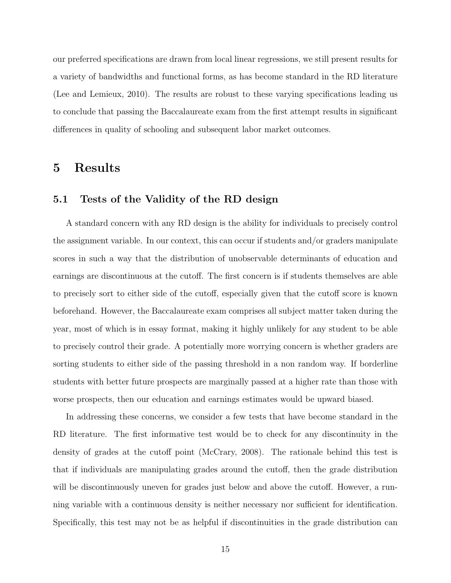our preferred specifications are drawn from local linear regressions, we still present results for a variety of bandwidths and functional forms, as has become standard in the RD literature (Lee and Lemieux, 2010). The results are robust to these varying specifications leading us to conclude that passing the Baccalaureate exam from the first attempt results in significant differences in quality of schooling and subsequent labor market outcomes.

### 5 Results

### 5.1 Tests of the Validity of the RD design

A standard concern with any RD design is the ability for individuals to precisely control the assignment variable. In our context, this can occur if students and/or graders manipulate scores in such a way that the distribution of unobservable determinants of education and earnings are discontinuous at the cutoff. The first concern is if students themselves are able to precisely sort to either side of the cutoff, especially given that the cutoff score is known beforehand. However, the Baccalaureate exam comprises all subject matter taken during the year, most of which is in essay format, making it highly unlikely for any student to be able to precisely control their grade. A potentially more worrying concern is whether graders are sorting students to either side of the passing threshold in a non random way. If borderline students with better future prospects are marginally passed at a higher rate than those with worse prospects, then our education and earnings estimates would be upward biased.

In addressing these concerns, we consider a few tests that have become standard in the RD literature. The first informative test would be to check for any discontinuity in the density of grades at the cutoff point (McCrary, 2008). The rationale behind this test is that if individuals are manipulating grades around the cutoff, then the grade distribution will be discontinuously uneven for grades just below and above the cutoff. However, a running variable with a continuous density is neither necessary nor sufficient for identification. Specifically, this test may not be as helpful if discontinuities in the grade distribution can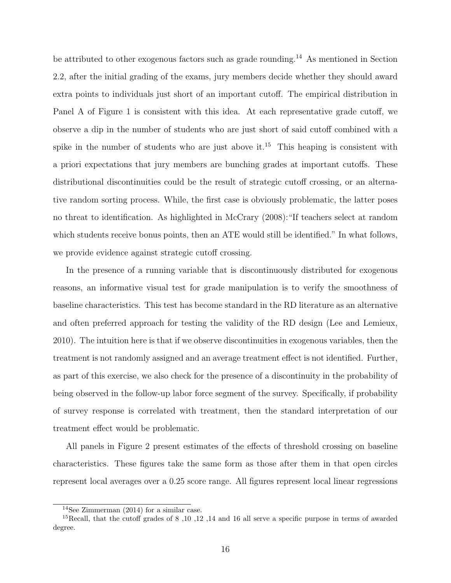be attributed to other exogenous factors such as grade rounding.<sup>14</sup> As mentioned in Section 2.2, after the initial grading of the exams, jury members decide whether they should award extra points to individuals just short of an important cutoff. The empirical distribution in Panel A of Figure 1 is consistent with this idea. At each representative grade cutoff, we observe a dip in the number of students who are just short of said cutoff combined with a spike in the number of students who are just above it.<sup>15</sup> This heaping is consistent with a priori expectations that jury members are bunching grades at important cutoffs. These distributional discontinuities could be the result of strategic cutoff crossing, or an alternative random sorting process. While, the first case is obviously problematic, the latter poses no threat to identification. As highlighted in McCrary (2008):"If teachers select at random which students receive bonus points, then an ATE would still be identified." In what follows, we provide evidence against strategic cutoff crossing.

In the presence of a running variable that is discontinuously distributed for exogenous reasons, an informative visual test for grade manipulation is to verify the smoothness of baseline characteristics. This test has become standard in the RD literature as an alternative and often preferred approach for testing the validity of the RD design (Lee and Lemieux, 2010). The intuition here is that if we observe discontinuities in exogenous variables, then the treatment is not randomly assigned and an average treatment effect is not identified. Further, as part of this exercise, we also check for the presence of a discontinuity in the probability of being observed in the follow-up labor force segment of the survey. Specifically, if probability of survey response is correlated with treatment, then the standard interpretation of our treatment effect would be problematic.

All panels in Figure 2 present estimates of the effects of threshold crossing on baseline characteristics. These figures take the same form as those after them in that open circles represent local averages over a 0.25 score range. All figures represent local linear regressions

<sup>14</sup>See Zimmerman (2014) for a similar case.

<sup>&</sup>lt;sup>15</sup>Recall, that the cutoff grades of 8,10,12,14 and 16 all serve a specific purpose in terms of awarded degree.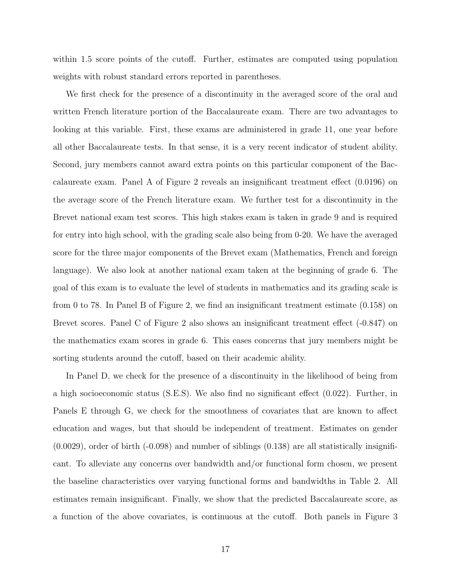within 1.5 score points of the cutoff. Further, estimates are computed using population weights with robust standard errors reported in parentheses.

We first check for the presence of a discontinuity in the averaged score of the oral and written French literature portion of the Baccalaureate exam. There are two advantages to looking at this variable. First, these exams are administered in grade 11, one year before all other Baccalaureate tests. In that sense, it is a very recent indicator of student ability. Second, jury members cannot award extra points on this particular component of the Baccalaureate exam. Panel A of Figure 2 reveals an insignificant treatment effect (0.0196) on the average score of the French literature exam. We further test for a discontinuity in the Brevet national exam test scores. This high stakes exam is taken in grade 9 and is required for entry into high school, with the grading scale also being from 0-20. We have the averaged score for the three major components of the Brevet exam (Mathematics, French and foreign language). We also look at another national exam taken at the beginning of grade 6. The goal of this exam is to evaluate the level of students in mathematics and its grading scale is from 0 to 78. In Panel B of Figure 2, we find an insignificant treatment estimate (0.158) on Brevet scores. Panel C of Figure 2 also shows an insignificant treatment effect (-0.847) on the mathematics exam scores in grade 6. This eases concerns that jury members might be sorting students around the cutoff, based on their academic ability.

In Panel D, we check for the presence of a discontinuity in the likelihood of being from a high socioeconomic status (S.E.S). We also find no significant effect (0.022). Further, in Panels E through G, we check for the smoothness of covariates that are known to affect education and wages, but that should be independent of treatment. Estimates on gender  $(0.0029)$ , order of birth  $(-0.098)$  and number of siblings  $(0.138)$  are all statistically insignificant. To alleviate any concerns over bandwidth and/or functional form chosen, we present the baseline characteristics over varying functional forms and bandwidths in Table 2. All estimates remain insignificant. Finally, we show that the predicted Baccalaureate score, as a function of the above covariates, is continuous at the cutoff. Both panels in Figure 3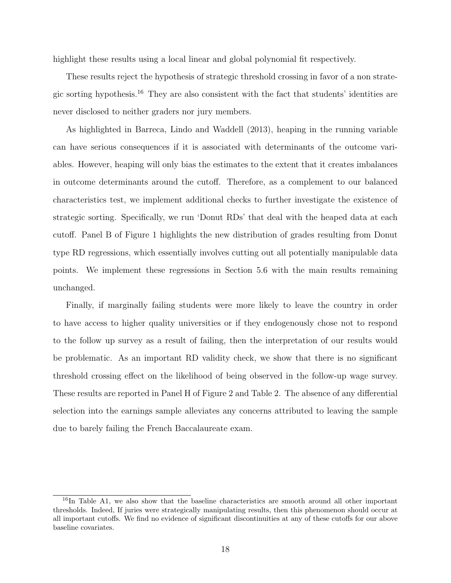highlight these results using a local linear and global polynomial fit respectively.

These results reject the hypothesis of strategic threshold crossing in favor of a non strategic sorting hypothesis.<sup>16</sup> They are also consistent with the fact that students' identities are never disclosed to neither graders nor jury members.

As highlighted in Barreca, Lindo and Waddell (2013), heaping in the running variable can have serious consequences if it is associated with determinants of the outcome variables. However, heaping will only bias the estimates to the extent that it creates imbalances in outcome determinants around the cutoff. Therefore, as a complement to our balanced characteristics test, we implement additional checks to further investigate the existence of strategic sorting. Specifically, we run 'Donut RDs' that deal with the heaped data at each cutoff. Panel B of Figure 1 highlights the new distribution of grades resulting from Donut type RD regressions, which essentially involves cutting out all potentially manipulable data points. We implement these regressions in Section 5.6 with the main results remaining unchanged.

Finally, if marginally failing students were more likely to leave the country in order to have access to higher quality universities or if they endogenously chose not to respond to the follow up survey as a result of failing, then the interpretation of our results would be problematic. As an important RD validity check, we show that there is no significant threshold crossing effect on the likelihood of being observed in the follow-up wage survey. These results are reported in Panel H of Figure 2 and Table 2. The absence of any differential selection into the earnings sample alleviates any concerns attributed to leaving the sample due to barely failing the French Baccalaureate exam.

<sup>&</sup>lt;sup>16</sup>In Table A1, we also show that the baseline characteristics are smooth around all other important thresholds. Indeed, If juries were strategically manipulating results, then this phenomenon should occur at all important cutoffs. We find no evidence of significant discontinuities at any of these cutoffs for our above baseline covariates.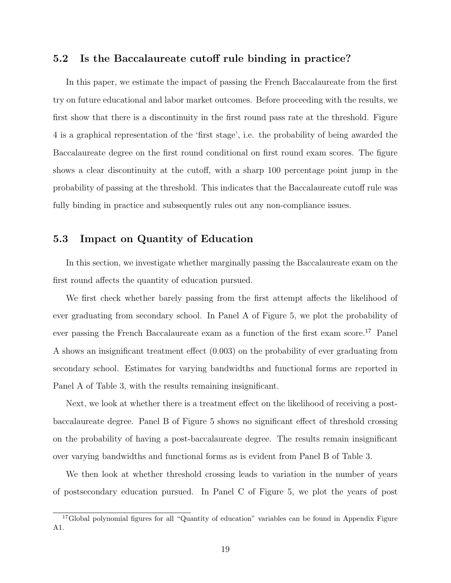### 5.2 Is the Baccalaureate cutoff rule binding in practice?

In this paper, we estimate the impact of passing the French Baccalaureate from the first try on future educational and labor market outcomes. Before proceeding with the results, we first show that there is a discontinuity in the first round pass rate at the threshold. Figure 4 is a graphical representation of the 'first stage', i.e. the probability of being awarded the Baccalaureate degree on the first round conditional on first round exam scores. The figure shows a clear discontinuity at the cutoff, with a sharp 100 percentage point jump in the probability of passing at the threshold. This indicates that the Baccalaureate cutoff rule was fully binding in practice and subsequently rules out any non-compliance issues.

### 5.3 Impact on Quantity of Education

In this section, we investigate whether marginally passing the Baccalaureate exam on the first round affects the quantity of education pursued.

We first check whether barely passing from the first attempt affects the likelihood of ever graduating from secondary school. In Panel A of Figure 5, we plot the probability of ever passing the French Baccalaureate exam as a function of the first exam score.<sup>17</sup> Panel A shows an insignificant treatment effect (0.003) on the probability of ever graduating from secondary school. Estimates for varying bandwidths and functional forms are reported in Panel A of Table 3, with the results remaining insignificant.

Next, we look at whether there is a treatment effect on the likelihood of receiving a postbaccalaureate degree. Panel B of Figure 5 shows no significant effect of threshold crossing on the probability of having a post-baccalaureate degree. The results remain insignificant over varying bandwidths and functional forms as is evident from Panel B of Table 3.

We then look at whether threshold crossing leads to variation in the number of years of postsecondary education pursued. In Panel C of Figure 5, we plot the years of post

<sup>&</sup>lt;sup>17</sup>Global polynomial figures for all "Quantity of education" variables can be found in Appendix Figure A1.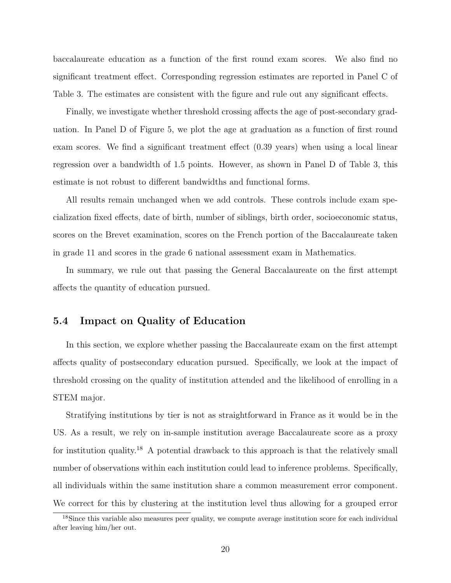baccalaureate education as a function of the first round exam scores. We also find no significant treatment effect. Corresponding regression estimates are reported in Panel C of Table 3. The estimates are consistent with the figure and rule out any significant effects.

Finally, we investigate whether threshold crossing affects the age of post-secondary graduation. In Panel D of Figure 5, we plot the age at graduation as a function of first round exam scores. We find a significant treatment effect (0.39 years) when using a local linear regression over a bandwidth of 1.5 points. However, as shown in Panel D of Table 3, this estimate is not robust to different bandwidths and functional forms.

All results remain unchanged when we add controls. These controls include exam specialization fixed effects, date of birth, number of siblings, birth order, socioeconomic status, scores on the Brevet examination, scores on the French portion of the Baccalaureate taken in grade 11 and scores in the grade 6 national assessment exam in Mathematics.

In summary, we rule out that passing the General Baccalaureate on the first attempt affects the quantity of education pursued.

### 5.4 Impact on Quality of Education

In this section, we explore whether passing the Baccalaureate exam on the first attempt affects quality of postsecondary education pursued. Specifically, we look at the impact of threshold crossing on the quality of institution attended and the likelihood of enrolling in a STEM major.

Stratifying institutions by tier is not as straightforward in France as it would be in the US. As a result, we rely on in-sample institution average Baccalaureate score as a proxy for institution quality.<sup>18</sup> A potential drawback to this approach is that the relatively small number of observations within each institution could lead to inference problems. Specifically, all individuals within the same institution share a common measurement error component. We correct for this by clustering at the institution level thus allowing for a grouped error

<sup>&</sup>lt;sup>18</sup>Since this variable also measures peer quality, we compute average institution score for each individual after leaving him/her out.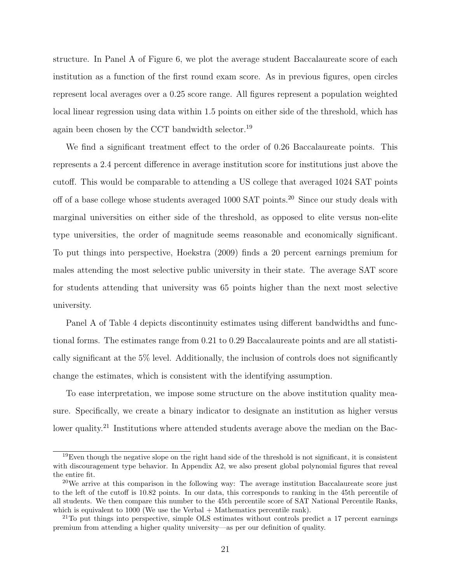structure. In Panel A of Figure 6, we plot the average student Baccalaureate score of each institution as a function of the first round exam score. As in previous figures, open circles represent local averages over a 0.25 score range. All figures represent a population weighted local linear regression using data within 1.5 points on either side of the threshold, which has again been chosen by the CCT bandwidth selector.<sup>19</sup>

We find a significant treatment effect to the order of 0.26 Baccalaureate points. This represents a 2.4 percent difference in average institution score for institutions just above the cutoff. This would be comparable to attending a US college that averaged 1024 SAT points off of a base college whose students averaged 1000 SAT points.<sup>20</sup> Since our study deals with marginal universities on either side of the threshold, as opposed to elite versus non-elite type universities, the order of magnitude seems reasonable and economically significant. To put things into perspective, Hoekstra (2009) finds a 20 percent earnings premium for males attending the most selective public university in their state. The average SAT score for students attending that university was 65 points higher than the next most selective university.

Panel A of Table 4 depicts discontinuity estimates using different bandwidths and functional forms. The estimates range from 0.21 to 0.29 Baccalaureate points and are all statistically significant at the 5% level. Additionally, the inclusion of controls does not significantly change the estimates, which is consistent with the identifying assumption.

To ease interpretation, we impose some structure on the above institution quality measure. Specifically, we create a binary indicator to designate an institution as higher versus lower quality.<sup>21</sup> Institutions where attended students average above the median on the Bac-

 $19$ Even though the negative slope on the right hand side of the threshold is not significant, it is consistent with discouragement type behavior. In Appendix A2, we also present global polynomial figures that reveal the entire fit.

 $^{20}$ We arrive at this comparison in the following way: The average institution Baccalaureate score just to the left of the cutoff is 10.82 points. In our data, this corresponds to ranking in the 45th percentile of all students. We then compare this number to the 45th percentile score of SAT National Percentile Ranks, which is equivalent to 1000 (We use the Verbal + Mathematics percentile rank).

<sup>&</sup>lt;sup>21</sup>To put things into perspective, simple OLS estimates without controls predict a 17 percent earnings premium from attending a higher quality university—as per our definition of quality.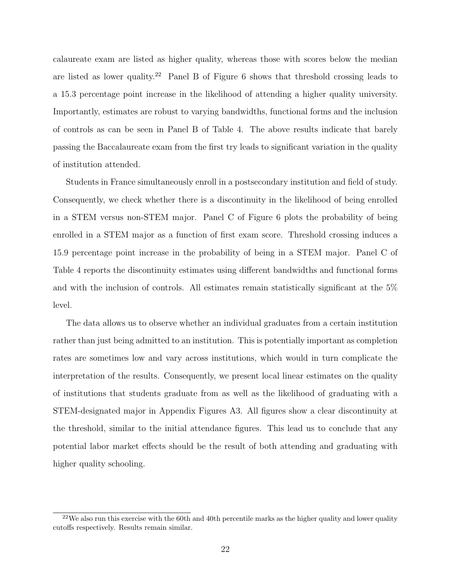calaureate exam are listed as higher quality, whereas those with scores below the median are listed as lower quality.<sup>22</sup> Panel B of Figure 6 shows that threshold crossing leads to a 15.3 percentage point increase in the likelihood of attending a higher quality university. Importantly, estimates are robust to varying bandwidths, functional forms and the inclusion of controls as can be seen in Panel B of Table 4. The above results indicate that barely passing the Baccalaureate exam from the first try leads to significant variation in the quality of institution attended.

Students in France simultaneously enroll in a postsecondary institution and field of study. Consequently, we check whether there is a discontinuity in the likelihood of being enrolled in a STEM versus non-STEM major. Panel C of Figure 6 plots the probability of being enrolled in a STEM major as a function of first exam score. Threshold crossing induces a 15.9 percentage point increase in the probability of being in a STEM major. Panel C of Table 4 reports the discontinuity estimates using different bandwidths and functional forms and with the inclusion of controls. All estimates remain statistically significant at the 5% level.

The data allows us to observe whether an individual graduates from a certain institution rather than just being admitted to an institution. This is potentially important as completion rates are sometimes low and vary across institutions, which would in turn complicate the interpretation of the results. Consequently, we present local linear estimates on the quality of institutions that students graduate from as well as the likelihood of graduating with a STEM-designated major in Appendix Figures A3. All figures show a clear discontinuity at the threshold, similar to the initial attendance figures. This lead us to conclude that any potential labor market effects should be the result of both attending and graduating with higher quality schooling.

 $22$ We also run this exercise with the 60th and 40th percentile marks as the higher quality and lower quality cutoffs respectively. Results remain similar.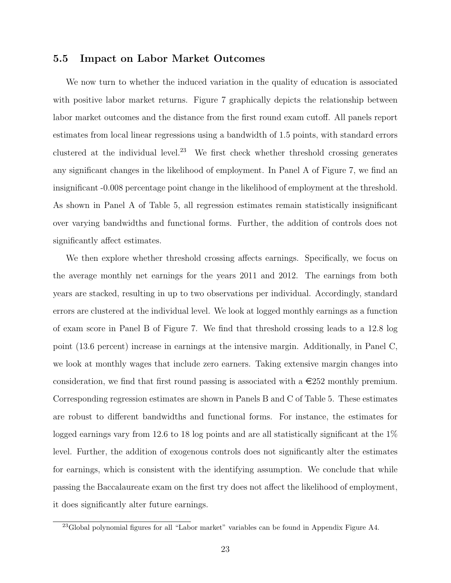#### 5.5 Impact on Labor Market Outcomes

We now turn to whether the induced variation in the quality of education is associated with positive labor market returns. Figure 7 graphically depicts the relationship between labor market outcomes and the distance from the first round exam cutoff. All panels report estimates from local linear regressions using a bandwidth of 1.5 points, with standard errors clustered at the individual level.<sup>23</sup> We first check whether threshold crossing generates any significant changes in the likelihood of employment. In Panel A of Figure 7, we find an insignificant -0.008 percentage point change in the likelihood of employment at the threshold. As shown in Panel A of Table 5, all regression estimates remain statistically insignificant over varying bandwidths and functional forms. Further, the addition of controls does not significantly affect estimates.

We then explore whether threshold crossing affects earnings. Specifically, we focus on the average monthly net earnings for the years 2011 and 2012. The earnings from both years are stacked, resulting in up to two observations per individual. Accordingly, standard errors are clustered at the individual level. We look at logged monthly earnings as a function of exam score in Panel B of Figure 7. We find that threshold crossing leads to a 12.8 log point (13.6 percent) increase in earnings at the intensive margin. Additionally, in Panel C, we look at monthly wages that include zero earners. Taking extensive margin changes into consideration, we find that first round passing is associated with a  $\epsilon$ 252 monthly premium. Corresponding regression estimates are shown in Panels B and C of Table 5. These estimates are robust to different bandwidths and functional forms. For instance, the estimates for logged earnings vary from 12.6 to 18 log points and are all statistically significant at the 1% level. Further, the addition of exogenous controls does not significantly alter the estimates for earnings, which is consistent with the identifying assumption. We conclude that while passing the Baccalaureate exam on the first try does not affect the likelihood of employment, it does significantly alter future earnings.

 $^{23}$ Global polynomial figures for all "Labor market" variables can be found in Appendix Figure A4.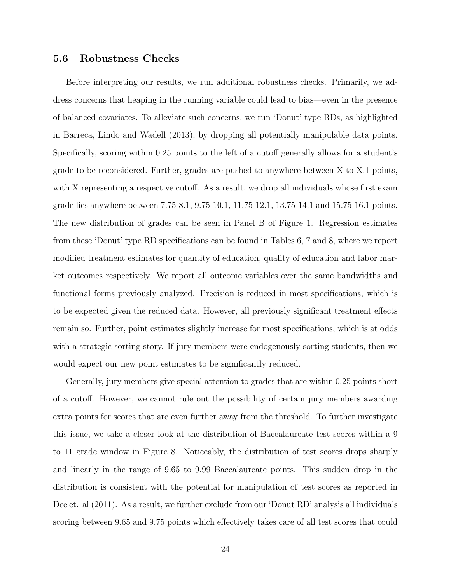### 5.6 Robustness Checks

Before interpreting our results, we run additional robustness checks. Primarily, we address concerns that heaping in the running variable could lead to bias—even in the presence of balanced covariates. To alleviate such concerns, we run 'Donut' type RDs, as highlighted in Barreca, Lindo and Wadell (2013), by dropping all potentially manipulable data points. Specifically, scoring within 0.25 points to the left of a cutoff generally allows for a student's grade to be reconsidered. Further, grades are pushed to anywhere between X to X.1 points, with X representing a respective cutoff. As a result, we drop all individuals whose first exam grade lies anywhere between 7.75-8.1, 9.75-10.1, 11.75-12.1, 13.75-14.1 and 15.75-16.1 points. The new distribution of grades can be seen in Panel B of Figure 1. Regression estimates from these 'Donut' type RD specifications can be found in Tables 6, 7 and 8, where we report modified treatment estimates for quantity of education, quality of education and labor market outcomes respectively. We report all outcome variables over the same bandwidths and functional forms previously analyzed. Precision is reduced in most specifications, which is to be expected given the reduced data. However, all previously significant treatment effects remain so. Further, point estimates slightly increase for most specifications, which is at odds with a strategic sorting story. If jury members were endogenously sorting students, then we would expect our new point estimates to be significantly reduced.

Generally, jury members give special attention to grades that are within 0.25 points short of a cutoff. However, we cannot rule out the possibility of certain jury members awarding extra points for scores that are even further away from the threshold. To further investigate this issue, we take a closer look at the distribution of Baccalaureate test scores within a 9 to 11 grade window in Figure 8. Noticeably, the distribution of test scores drops sharply and linearly in the range of 9.65 to 9.99 Baccalaureate points. This sudden drop in the distribution is consistent with the potential for manipulation of test scores as reported in Dee et. al (2011). As a result, we further exclude from our 'Donut RD' analysis all individuals scoring between 9.65 and 9.75 points which effectively takes care of all test scores that could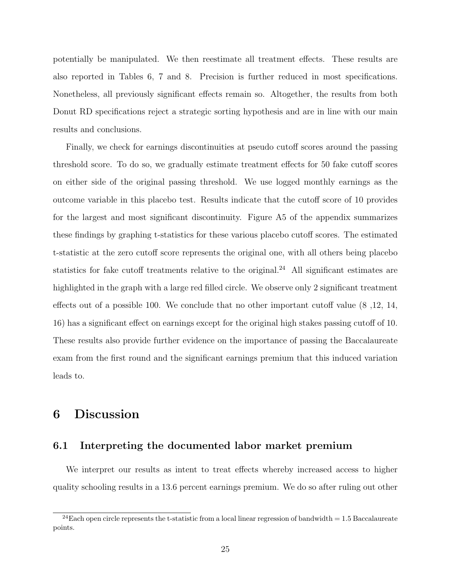potentially be manipulated. We then reestimate all treatment effects. These results are also reported in Tables 6, 7 and 8. Precision is further reduced in most specifications. Nonetheless, all previously significant effects remain so. Altogether, the results from both Donut RD specifications reject a strategic sorting hypothesis and are in line with our main results and conclusions.

Finally, we check for earnings discontinuities at pseudo cutoff scores around the passing threshold score. To do so, we gradually estimate treatment effects for 50 fake cutoff scores on either side of the original passing threshold. We use logged monthly earnings as the outcome variable in this placebo test. Results indicate that the cutoff score of 10 provides for the largest and most significant discontinuity. Figure A5 of the appendix summarizes these findings by graphing t-statistics for these various placebo cutoff scores. The estimated t-statistic at the zero cutoff score represents the original one, with all others being placebo statistics for fake cutoff treatments relative to the original.<sup>24</sup> All significant estimates are highlighted in the graph with a large red filled circle. We observe only 2 significant treatment effects out of a possible 100. We conclude that no other important cutoff value (8 ,12, 14, 16) has a significant effect on earnings except for the original high stakes passing cutoff of 10. These results also provide further evidence on the importance of passing the Baccalaureate exam from the first round and the significant earnings premium that this induced variation leads to.

### 6 Discussion

### 6.1 Interpreting the documented labor market premium

We interpret our results as intent to treat effects whereby increased access to higher quality schooling results in a 13.6 percent earnings premium. We do so after ruling out other

<sup>&</sup>lt;sup>24</sup>Each open circle represents the t-statistic from a local linear regression of bandwidth =  $1.5$  Baccalaureate points.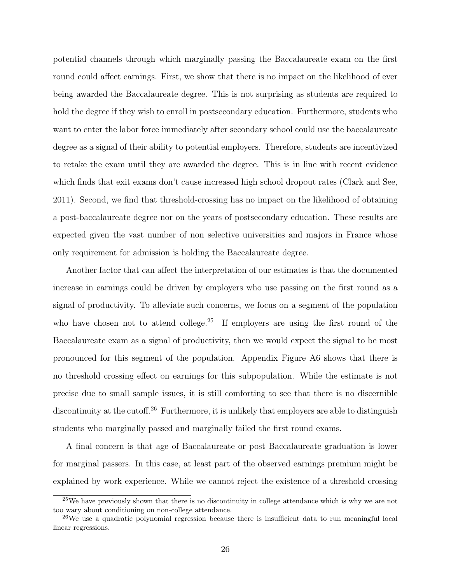potential channels through which marginally passing the Baccalaureate exam on the first round could affect earnings. First, we show that there is no impact on the likelihood of ever being awarded the Baccalaureate degree. This is not surprising as students are required to hold the degree if they wish to enroll in postsecondary education. Furthermore, students who want to enter the labor force immediately after secondary school could use the baccalaureate degree as a signal of their ability to potential employers. Therefore, students are incentivized to retake the exam until they are awarded the degree. This is in line with recent evidence which finds that exit exams don't cause increased high school dropout rates (Clark and See, 2011). Second, we find that threshold-crossing has no impact on the likelihood of obtaining a post-baccalaureate degree nor on the years of postsecondary education. These results are expected given the vast number of non selective universities and majors in France whose only requirement for admission is holding the Baccalaureate degree.

Another factor that can affect the interpretation of our estimates is that the documented increase in earnings could be driven by employers who use passing on the first round as a signal of productivity. To alleviate such concerns, we focus on a segment of the population who have chosen not to attend college.<sup>25</sup> If employers are using the first round of the Baccalaureate exam as a signal of productivity, then we would expect the signal to be most pronounced for this segment of the population. Appendix Figure A6 shows that there is no threshold crossing effect on earnings for this subpopulation. While the estimate is not precise due to small sample issues, it is still comforting to see that there is no discernible discontinuity at the cutoff.<sup>26</sup> Furthermore, it is unlikely that employers are able to distinguish students who marginally passed and marginally failed the first round exams.

A final concern is that age of Baccalaureate or post Baccalaureate graduation is lower for marginal passers. In this case, at least part of the observed earnings premium might be explained by work experience. While we cannot reject the existence of a threshold crossing

<sup>&</sup>lt;sup>25</sup>We have previously shown that there is no discontinuity in college attendance which is why we are not too wary about conditioning on non-college attendance.

<sup>&</sup>lt;sup>26</sup>We use a quadratic polynomial regression because there is insufficient data to run meaningful local linear regressions.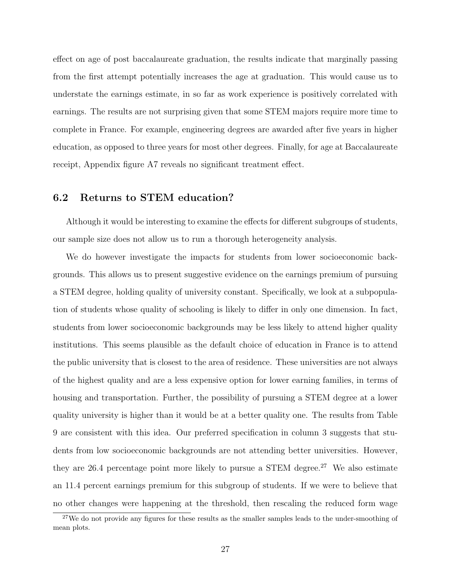effect on age of post baccalaureate graduation, the results indicate that marginally passing from the first attempt potentially increases the age at graduation. This would cause us to understate the earnings estimate, in so far as work experience is positively correlated with earnings. The results are not surprising given that some STEM majors require more time to complete in France. For example, engineering degrees are awarded after five years in higher education, as opposed to three years for most other degrees. Finally, for age at Baccalaureate receipt, Appendix figure A7 reveals no significant treatment effect.

### 6.2 Returns to STEM education?

Although it would be interesting to examine the effects for different subgroups of students, our sample size does not allow us to run a thorough heterogeneity analysis.

We do however investigate the impacts for students from lower socioeconomic backgrounds. This allows us to present suggestive evidence on the earnings premium of pursuing a STEM degree, holding quality of university constant. Specifically, we look at a subpopulation of students whose quality of schooling is likely to differ in only one dimension. In fact, students from lower socioeconomic backgrounds may be less likely to attend higher quality institutions. This seems plausible as the default choice of education in France is to attend the public university that is closest to the area of residence. These universities are not always of the highest quality and are a less expensive option for lower earning families, in terms of housing and transportation. Further, the possibility of pursuing a STEM degree at a lower quality university is higher than it would be at a better quality one. The results from Table 9 are consistent with this idea. Our preferred specification in column 3 suggests that students from low socioeconomic backgrounds are not attending better universities. However, they are 26.4 percentage point more likely to pursue a STEM degree.<sup>27</sup> We also estimate an 11.4 percent earnings premium for this subgroup of students. If we were to believe that no other changes were happening at the threshold, then rescaling the reduced form wage

<sup>&</sup>lt;sup>27</sup>We do not provide any figures for these results as the smaller samples leads to the under-smoothing of mean plots.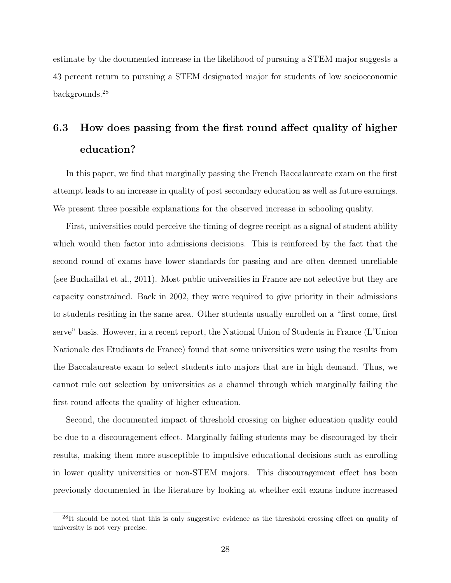estimate by the documented increase in the likelihood of pursuing a STEM major suggests a 43 percent return to pursuing a STEM designated major for students of low socioeconomic backgrounds.<sup>28</sup>

# 6.3 How does passing from the first round affect quality of higher education?

In this paper, we find that marginally passing the French Baccalaureate exam on the first attempt leads to an increase in quality of post secondary education as well as future earnings. We present three possible explanations for the observed increase in schooling quality.

First, universities could perceive the timing of degree receipt as a signal of student ability which would then factor into admissions decisions. This is reinforced by the fact that the second round of exams have lower standards for passing and are often deemed unreliable (see Buchaillat et al., 2011). Most public universities in France are not selective but they are capacity constrained. Back in 2002, they were required to give priority in their admissions to students residing in the same area. Other students usually enrolled on a "first come, first serve" basis. However, in a recent report, the National Union of Students in France (L'Union Nationale des Etudiants de France) found that some universities were using the results from the Baccalaureate exam to select students into majors that are in high demand. Thus, we cannot rule out selection by universities as a channel through which marginally failing the first round affects the quality of higher education.

Second, the documented impact of threshold crossing on higher education quality could be due to a discouragement effect. Marginally failing students may be discouraged by their results, making them more susceptible to impulsive educational decisions such as enrolling in lower quality universities or non-STEM majors. This discouragement effect has been previously documented in the literature by looking at whether exit exams induce increased

 $^{28}$ It should be noted that this is only suggestive evidence as the threshold crossing effect on quality of university is not very precise.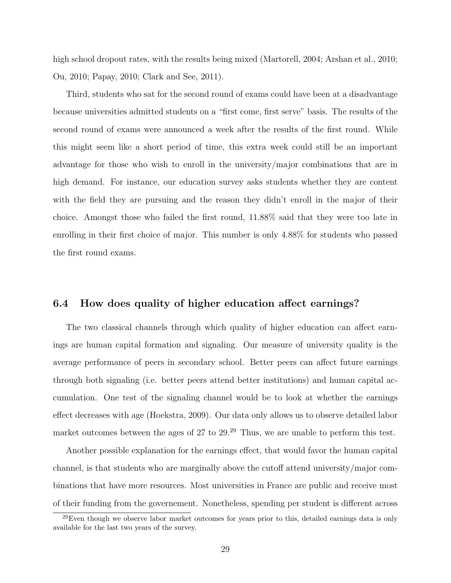high school dropout rates, with the results being mixed (Martorell, 2004; Arshan et al., 2010; Ou, 2010; Papay, 2010; Clark and See, 2011).

Third, students who sat for the second round of exams could have been at a disadvantage because universities admitted students on a "first come, first serve" basis. The results of the second round of exams were announced a week after the results of the first round. While this might seem like a short period of time, this extra week could still be an important advantage for those who wish to enroll in the university/major combinations that are in high demand. For instance, our education survey asks students whether they are content with the field they are pursuing and the reason they didn't enroll in the major of their choice. Amongst those who failed the first round, 11.88% said that they were too late in enrolling in their first choice of major. This number is only 4.88% for students who passed the first round exams.

### 6.4 How does quality of higher education affect earnings?

The two classical channels through which quality of higher education can affect earnings are human capital formation and signaling. Our measure of university quality is the average performance of peers in secondary school. Better peers can affect future earnings through both signaling (i.e. better peers attend better institutions) and human capital accumulation. One test of the signaling channel would be to look at whether the earnings effect decreases with age (Hoekstra, 2009). Our data only allows us to observe detailed labor market outcomes between the ages of 27 to 29.<sup>29</sup> Thus, we are unable to perform this test.

Another possible explanation for the earnings effect, that would favor the human capital channel, is that students who are marginally above the cutoff attend university/major combinations that have more resources. Most universities in France are public and receive most of their funding from the governement. Nonetheless, spending per student is different across

 $29$ Even though we observe labor market outcomes for years prior to this, detailed earnings data is only available for the last two years of the survey.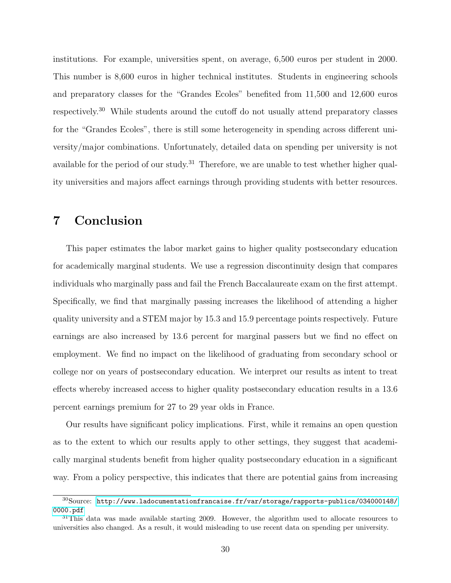institutions. For example, universities spent, on average, 6,500 euros per student in 2000. This number is 8,600 euros in higher technical institutes. Students in engineering schools and preparatory classes for the "Grandes Ecoles" benefited from 11,500 and 12,600 euros respectively.<sup>30</sup> While students around the cutoff do not usually attend preparatory classes for the "Grandes Ecoles", there is still some heterogeneity in spending across different university/major combinations. Unfortunately, detailed data on spending per university is not available for the period of our study.<sup>31</sup> Therefore, we are unable to test whether higher quality universities and majors affect earnings through providing students with better resources.

### 7 Conclusion

This paper estimates the labor market gains to higher quality postsecondary education for academically marginal students. We use a regression discontinuity design that compares individuals who marginally pass and fail the French Baccalaureate exam on the first attempt. Specifically, we find that marginally passing increases the likelihood of attending a higher quality university and a STEM major by 15.3 and 15.9 percentage points respectively. Future earnings are also increased by 13.6 percent for marginal passers but we find no effect on employment. We find no impact on the likelihood of graduating from secondary school or college nor on years of postsecondary education. We interpret our results as intent to treat effects whereby increased access to higher quality postsecondary education results in a 13.6 percent earnings premium for 27 to 29 year olds in France.

Our results have significant policy implications. First, while it remains an open question as to the extent to which our results apply to other settings, they suggest that academically marginal students benefit from higher quality postsecondary education in a significant way. From a policy perspective, this indicates that there are potential gains from increasing

<sup>30</sup>Source: [http://www.ladocumentationfrancaise.fr/var/storage/rapports-publics/034000148/](http://www.ladocumentationfrancaise.fr/var/storage/rapports-publics/034000148/0000.pdf) [0000.pdf](http://www.ladocumentationfrancaise.fr/var/storage/rapports-publics/034000148/0000.pdf)

 $31$ This data was made available starting 2009. However, the algorithm used to allocate resources to universities also changed. As a result, it would misleading to use recent data on spending per university.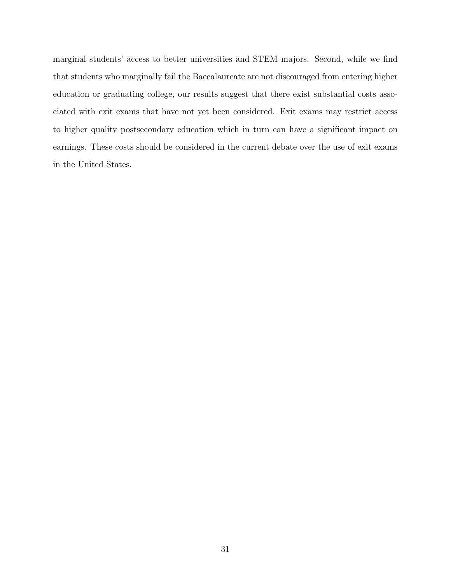marginal students' access to better universities and STEM majors. Second, while we find that students who marginally fail the Baccalaureate are not discouraged from entering higher education or graduating college, our results suggest that there exist substantial costs associated with exit exams that have not yet been considered. Exit exams may restrict access to higher quality postsecondary education which in turn can have a significant impact on earnings. These costs should be considered in the current debate over the use of exit exams in the United States.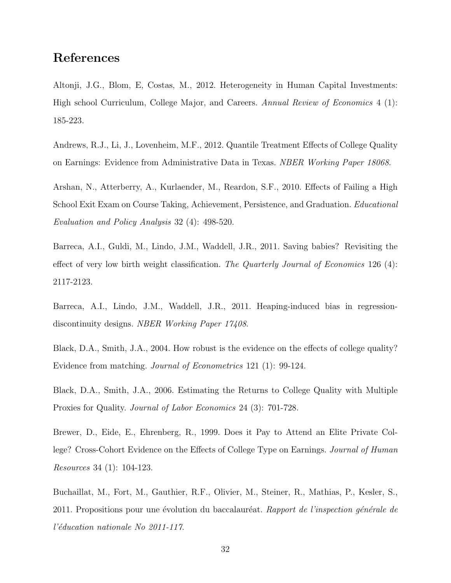### References

Altonji, J.G., Blom, E, Costas, M., 2012. Heterogeneity in Human Capital Investments: High school Curriculum, College Major, and Careers. Annual Review of Economics 4 (1): 185-223.

Andrews, R.J., Li, J., Lovenheim, M.F., 2012. Quantile Treatment Effects of College Quality on Earnings: Evidence from Administrative Data in Texas. NBER Working Paper 18068.

Arshan, N., Atterberry, A., Kurlaender, M., Reardon, S.F., 2010. Effects of Failing a High School Exit Exam on Course Taking, Achievement, Persistence, and Graduation. Educational Evaluation and Policy Analysis 32 (4): 498-520.

Barreca, A.I., Guldi, M., Lindo, J.M., Waddell, J.R., 2011. Saving babies? Revisiting the effect of very low birth weight classification. The Quarterly Journal of Economics 126 (4): 2117-2123.

Barreca, A.I., Lindo, J.M., Waddell, J.R., 2011. Heaping-induced bias in regressiondiscontinuity designs. NBER Working Paper 17408.

Black, D.A., Smith, J.A., 2004. How robust is the evidence on the effects of college quality? Evidence from matching. Journal of Econometrics 121 (1): 99-124.

Black, D.A., Smith, J.A., 2006. Estimating the Returns to College Quality with Multiple Proxies for Quality. Journal of Labor Economics 24 (3): 701-728.

Brewer, D., Eide, E., Ehrenberg, R., 1999. Does it Pay to Attend an Elite Private College? Cross-Cohort Evidence on the Effects of College Type on Earnings. Journal of Human Resources 34 (1): 104-123.

Buchaillat, M., Fort, M., Gauthier, R.F., Olivier, M., Steiner, R., Mathias, P., Kesler, S., 2011. Propositions pour une évolution du baccalauréat. Rapport de l'inspection générale de l'éducation nationale No 2011-117.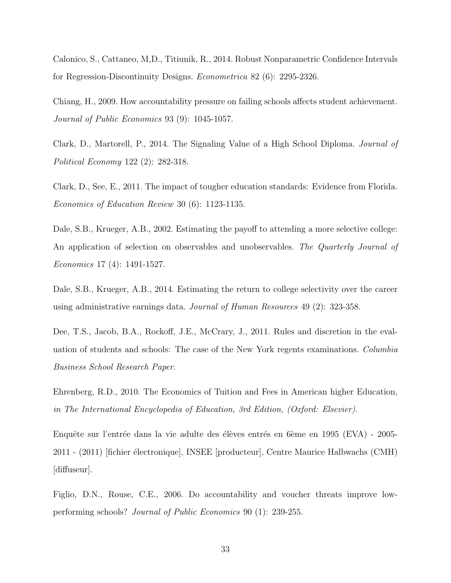Calonico, S., Cattaneo, M,D., Titiunik, R., 2014. Robust Nonparametric Confidence Intervals for Regression-Discontinuity Designs. Econometrica 82 (6): 2295-2326.

Chiang, H., 2009. How accountability pressure on failing schools affects student achievement. Journal of Public Economics 93 (9): 1045-1057.

Clark, D., Martorell, P., 2014. The Signaling Value of a High School Diploma. Journal of Political Economy 122 (2): 282-318.

Clark, D., See, E., 2011. The impact of tougher education standards: Evidence from Florida. Economics of Education Review 30 (6): 1123-1135.

Dale, S.B., Krueger, A.B., 2002. Estimating the payoff to attending a more selective college: An application of selection on observables and unobservables. The Quarterly Journal of Economics 17 (4): 1491-1527.

Dale, S.B., Krueger, A.B., 2014. Estimating the return to college selectivity over the career using administrative earnings data. Journal of Human Resources 49 (2): 323-358.

Dee, T.S., Jacob, B.A., Rockoff, J.E., McCrary, J., 2011. Rules and discretion in the evaluation of students and schools: The case of the New York regents examinations. Columbia Business School Research Paper.

Ehrenberg, R.D., 2010. The Economics of Tuition and Fees in American higher Education, in The International Encyclopedia of Education, 3rd Edition, (Oxford: Elsevier).

Enquête sur l'entrée dans la vie adulte des élèves entrés en 6ème en 1995 (EVA) - 2005-2011 - (2011) [fichier électronique], INSEE [producteur], Centre Maurice Halbwachs (CMH) [diffuseur].

Figlio, D.N., Rouse, C.E., 2006. Do accountability and voucher threats improve lowperforming schools? Journal of Public Economics 90 (1): 239-255.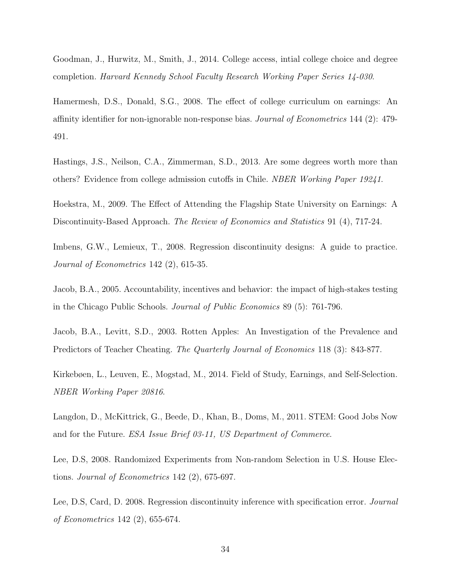Goodman, J., Hurwitz, M., Smith, J., 2014. College access, intial college choice and degree completion. Harvard Kennedy School Faculty Research Working Paper Series 14-030.

Hamermesh, D.S., Donald, S.G., 2008. The effect of college curriculum on earnings: An affinity identifier for non-ignorable non-response bias. Journal of Econometrics 144 (2): 479- 491.

Hastings, J.S., Neilson, C.A., Zimmerman, S.D., 2013. Are some degrees worth more than others? Evidence from college admission cutoffs in Chile. NBER Working Paper 19241.

Hoekstra, M., 2009. The Effect of Attending the Flagship State University on Earnings: A Discontinuity-Based Approach. The Review of Economics and Statistics 91 (4), 717-24.

Imbens, G.W., Lemieux, T., 2008. Regression discontinuity designs: A guide to practice. Journal of Econometrics 142 (2), 615-35.

Jacob, B.A., 2005. Accountability, incentives and behavior: the impact of high-stakes testing in the Chicago Public Schools. Journal of Public Economics 89 (5): 761-796.

Jacob, B.A., Levitt, S.D., 2003. Rotten Apples: An Investigation of the Prevalence and Predictors of Teacher Cheating. The Quarterly Journal of Economics 118 (3): 843-877.

Kirkebøen, L., Leuven, E., Mogstad, M., 2014. Field of Study, Earnings, and Self-Selection. NBER Working Paper 20816.

Langdon, D., McKittrick, G., Beede, D., Khan, B., Doms, M., 2011. STEM: Good Jobs Now and for the Future. ESA Issue Brief 03-11, US Department of Commerce.

Lee, D.S, 2008. Randomized Experiments from Non-random Selection in U.S. House Elections. Journal of Econometrics 142 (2), 675-697.

Lee, D.S. Card, D. 2008. Regression discontinuity inference with specification error. *Journal* of Econometrics 142 (2), 655-674.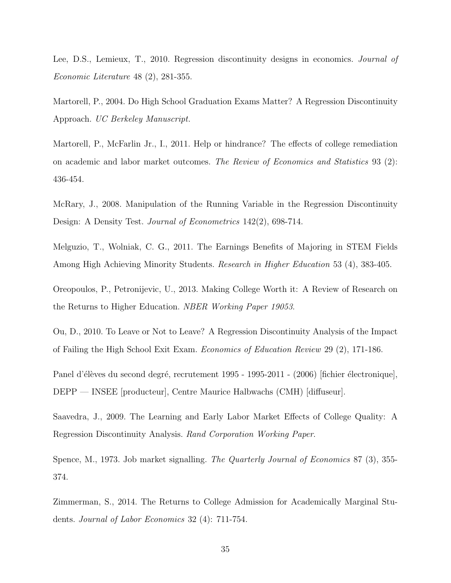Lee, D.S., Lemieux, T., 2010. Regression discontinuity designs in economics. Journal of Economic Literature 48 (2), 281-355.

Martorell, P., 2004. Do High School Graduation Exams Matter? A Regression Discontinuity Approach. UC Berkeley Manuscript.

Martorell, P., McFarlin Jr., I., 2011. Help or hindrance? The effects of college remediation on academic and labor market outcomes. The Review of Economics and Statistics 93 (2): 436-454.

McRary, J., 2008. Manipulation of the Running Variable in the Regression Discontinuity Design: A Density Test. Journal of Econometrics 142(2), 698-714.

Melguzio, T., Wolniak, C. G., 2011. The Earnings Benefits of Majoring in STEM Fields Among High Achieving Minority Students. Research in Higher Education 53 (4), 383-405.

Oreopoulos, P., Petronijevic, U., 2013. Making College Worth it: A Review of Research on the Returns to Higher Education. NBER Working Paper 19053.

Ou, D., 2010. To Leave or Not to Leave? A Regression Discontinuity Analysis of the Impact of Failing the High School Exit Exam. Economics of Education Review 29 (2), 171-186.

Panel d'élèves du second degré, recrutement 1995 - 1995-2011 - (2006) sfichier électronique], DEPP — INSEE [producteur], Centre Maurice Halbwachs (CMH) [diffuseur].

Saavedra, J., 2009. The Learning and Early Labor Market Effects of College Quality: A Regression Discontinuity Analysis. Rand Corporation Working Paper.

Spence, M., 1973. Job market signalling. The Quarterly Journal of Economics 87 (3), 355-374.

Zimmerman, S., 2014. The Returns to College Admission for Academically Marginal Students. Journal of Labor Economics 32 (4): 711-754.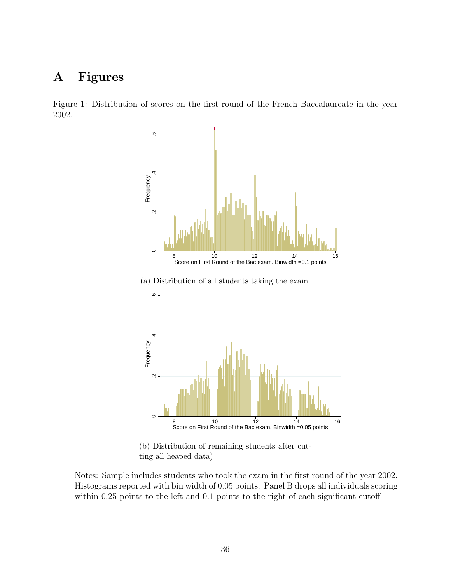# A Figures

Figure 1: Distribution of scores on the first round of the French Baccalaureate in the year 2002.





(b) Distribution of remaining students after cutting all heaped data)

Notes: Sample includes students who took the exam in the first round of the year 2002. Histograms reported with bin width of 0.05 points. Panel B drops all individuals scoring within 0.25 points to the left and 0.1 points to the right of each significant cutoff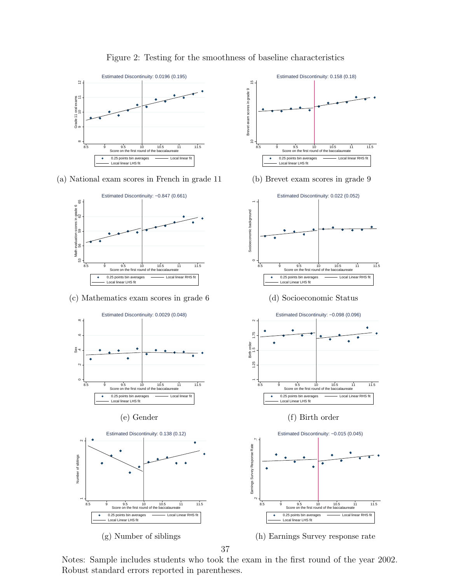

Figure 2: Testing for the smoothness of baseline characteristics

10  $\frac{1}{1}$ Brevet exam scores in grade 9

Brevet exam scores in grade 9

 $\epsilon$ 

 $\overline{5}$ 

 $\circ$ 

 $\bullet$ 

 $\begin{bmatrix} 1 \\ 1 \end{bmatrix}$ Socioeconomic background

Socioeconomic background

8.5 9 9.5 10 10.5 11 11.5 Score on the first round of the baccalaureate 0.25 points bin averages Local linear RHS fit

(b) Brevet exam scores in grade 9

Estimated Discontinuity: 0.022 (0.052)

8.5 9 9.5 10 10.5 11 11.5 Score on the first round of the baccalaureate

Estimated Discontinuity: 0.158 (0.18)

Local linear LHS fit

(a) National exam scores in French in grade 11





37

Notes: Sample includes students who took the exam in the first round of the year 2002. Robust standard errors reported in parentheses.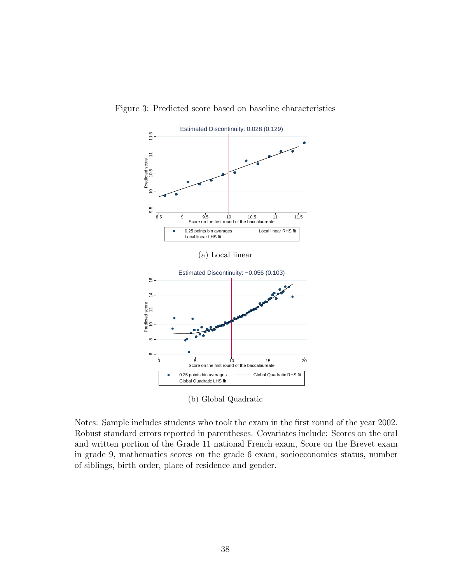

Figure 3: Predicted score based on baseline characteristics

(b) Global Quadratic

Notes: Sample includes students who took the exam in the first round of the year 2002. Robust standard errors reported in parentheses. Covariates include: Scores on the oral and written portion of the Grade 11 national French exam, Score on the Brevet exam in grade 9, mathematics scores on the grade 6 exam, socioeconomics status, number of siblings, birth order, place of residence and gender.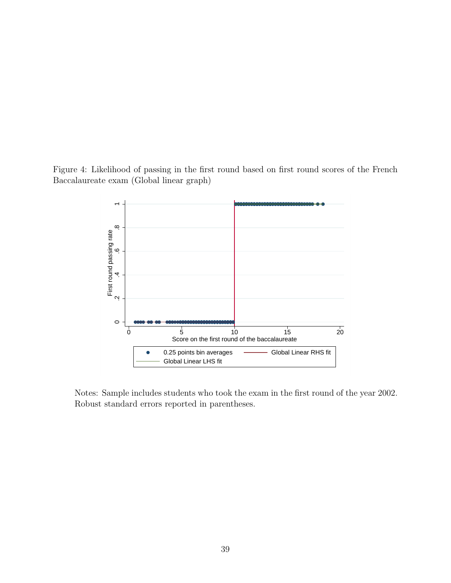Figure 4: Likelihood of passing in the first round based on first round scores of the French Baccalaureate exam (Global linear graph)



Notes: Sample includes students who took the exam in the first round of the year 2002. Robust standard errors reported in parentheses.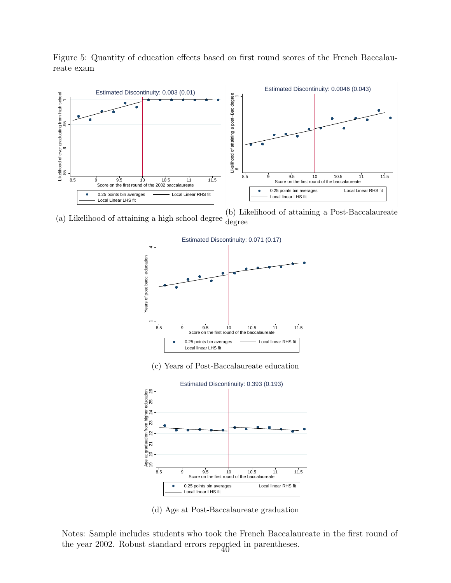

Figure 5: Quantity of education effects based on first round scores of the French Baccalaureate exam

(a) Likelihood of attaining a high school degree (b) Likelihood of attaining a Post-Baccalaureate degree



(c) Years of Post-Baccalaureate education



(d) Age at Post-Baccalaureate graduation

Notes: Sample includes students who took the French Baccalaureate in the first round of the year 2002. Robust standard errors reported in parentheses.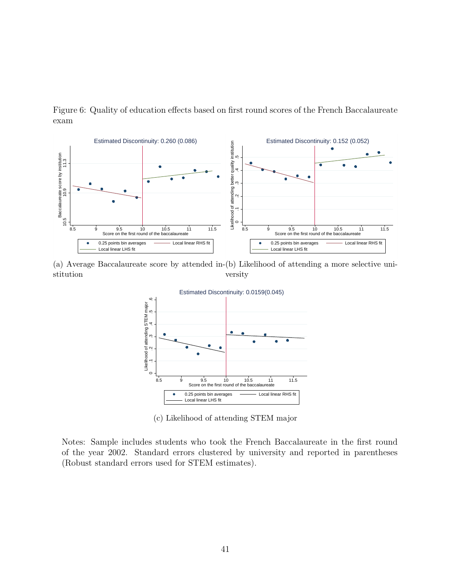

Figure 6: Quality of education effects based on first round scores of the French Baccalaureate exam

(a) Average Baccalaureate score by attended in-(b) Likelihood of attending a more selective unistitution versity



(c) Likelihood of attending STEM major

Notes: Sample includes students who took the French Baccalaureate in the first round of the year 2002. Standard errors clustered by university and reported in parentheses (Robust standard errors used for STEM estimates).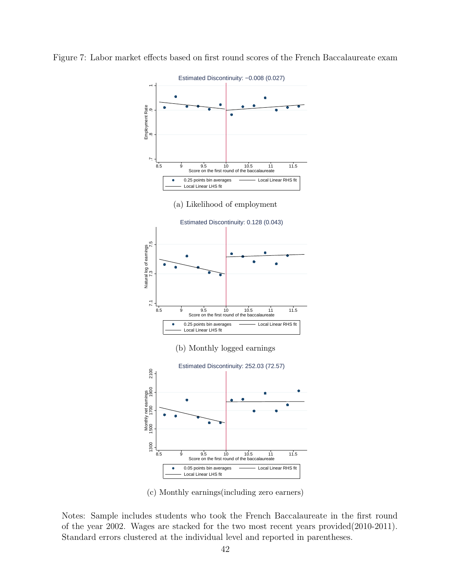

Figure 7: Labor market effects based on first round scores of the French Baccalaureate exam

(c) Monthly earnings(including zero earners)

Notes: Sample includes students who took the French Baccalaureate in the first round of the year 2002. Wages are stacked for the two most recent years provided(2010-2011). Standard errors clustered at the individual level and reported in parentheses.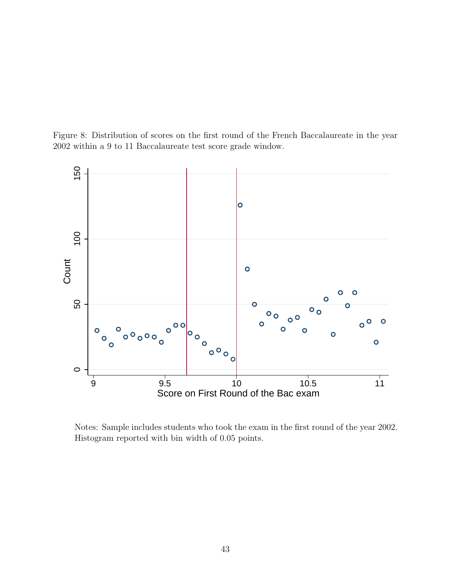



Notes: Sample includes students who took the exam in the first round of the year 2002. Histogram reported with bin width of 0.05 points.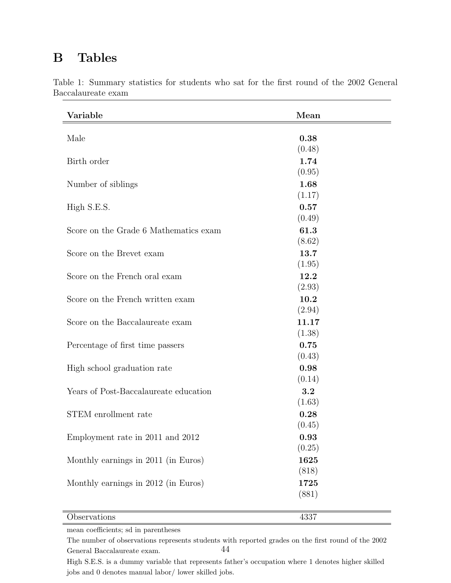## B Tables

| Variable                              | Mean   |
|---------------------------------------|--------|
| Male                                  | 0.38   |
|                                       | (0.48) |
| Birth order                           | 1.74   |
|                                       | (0.95) |
| Number of siblings                    | 1.68   |
|                                       | (1.17) |
| High S.E.S.                           | 0.57   |
|                                       | (0.49) |
| Score on the Grade 6 Mathematics exam | 61.3   |
|                                       | (8.62) |
| Score on the Brevet exam              | 13.7   |
|                                       | (1.95) |
| Score on the French oral exam         | 12.2   |
|                                       | (2.93) |
| Score on the French written exam      | 10.2   |
|                                       | (2.94) |
| Score on the Baccalaureate exam       | 11.17  |
|                                       | (1.38) |
| Percentage of first time passers      | 0.75   |
|                                       | (0.43) |
| High school graduation rate           | 0.98   |
|                                       | (0.14) |
| Years of Post-Baccalaureate education | 3.2    |
|                                       | (1.63) |
| STEM enrollment rate                  | 0.28   |
|                                       | (0.45) |
| Employment rate in 2011 and 2012      | 0.93   |
|                                       | (0.25) |
| Monthly earnings in 2011 (in Euros)   | 1625   |
|                                       | (818)  |
| Monthly earnings in 2012 (in Euros)   | 1725   |
|                                       | (881)  |
| Observations                          | 4337   |

Table 1: Summary statistics for students who sat for the first round of the 2002 General Baccalaureate exam

mean coefficients; sd in parentheses

The number of observations represents students with reported grades on the first round of the 2002 General Baccalaureate exam. 44

High S.E.S. is a dummy variable that represents father's occupation where 1 denotes higher skilled jobs and 0 denotes manual labor/ lower skilled jobs.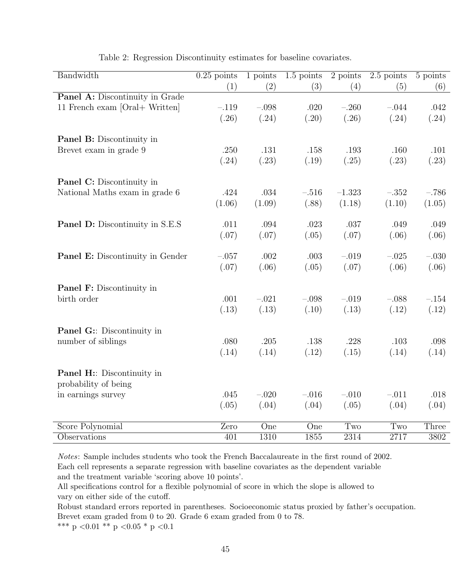| Bandwidth                              | $0.25$ points | 1 points         | $1.5$ points     | 2 points          | $2.5$ points | 5 points |
|----------------------------------------|---------------|------------------|------------------|-------------------|--------------|----------|
|                                        | (1)           | (2)              | (3)              | (4)               | (5)          | (6)      |
| <b>Panel A:</b> Discontinuity in Grade |               |                  |                  |                   |              |          |
| 11 French exam [Oral+ Written]         | $-.119$       | $-.098$          | .020             | $-.260$           | $-.044$      | .042     |
|                                        | (.26)         | (.24)            | (.20)            | (.26)             | (.24)        | (.24)    |
| <b>Panel B:</b> Discontinuity in       |               |                  |                  |                   |              |          |
| Brevet exam in grade 9                 | .250          | .131             | .158             | .193              | .160         | .101     |
|                                        | (.24)         | (.23)            | (.19)            | (.25)             | (.23)        | (.23)    |
| <b>Panel C:</b> Discontinuity in       |               |                  |                  |                   |              |          |
| National Maths exam in grade 6         | .424          | .034             | $-.516$          | $-1.323$          | $-.352$      | $-.786$  |
|                                        | (1.06)        | (1.09)           | (.88)            | (1.18)            | (1.10)       | (1.05)   |
| <b>Panel D:</b> Discontinuity in S.E.S | .011          | .094             | .023             | .037              | .049         | .049     |
|                                        | (.07)         | (.07)            | (.05)            | (.07)             | (.06)        | (.06)    |
| Panel E: Discontinuity in Gender       | $-.057$       | .002             | .003             | $-.019$           | $-.025$      | $-.030$  |
|                                        | (.07)         | (.06)            | (.05)            | (.07)             | (.06)        | (.06)    |
| <b>Panel F:</b> Discontinuity in       |               |                  |                  |                   |              |          |
| birth order                            | .001          | $-.021$          | $-.098$          | $-.019$           | $-.088$      | $-.154$  |
|                                        | (.13)         | (.13)            | (.10)            | (.13)             | (.12)        | (.12)    |
| <b>Panel G::</b> Discontinuity in      |               |                  |                  |                   |              |          |
| number of siblings                     | .080          | .205             | .138             | .228              | .103         | .098     |
|                                        | (.14)         | (.14)            | (.12)            | (.15)             | (.14)        | (.14)    |
| Panel H: Discontinuity in              |               |                  |                  |                   |              |          |
| probability of being                   |               |                  |                  |                   |              |          |
| in earnings survey                     | .045          | $-.020$          | $-.016$          | $-.010$           | $-.011$      | .018     |
|                                        | (.05)         | (.04)            | (.04)            | (.05)             | (.04)        | (.04)    |
| Score Polynomial                       | Zero          | $\overline{One}$ | $\overline{One}$ | Two               | Two          | Three    |
| Observations                           | 401           | 1310             | 1855             | $\overline{2314}$ | 2717         | 3802     |

Table 2: Regression Discontinuity estimates for baseline covariates.

Notes: Sample includes students who took the French Baccalaureate in the first round of 2002. Each cell represents a separate regression with baseline covariates as the dependent variable and the treatment variable 'scoring above 10 points'.

All specifications control for a flexible polynomial of score in which the slope is allowed to vary on either side of the cutoff.

Robust standard errors reported in parentheses. Socioeconomic status proxied by father's occupation. Brevet exam graded from 0 to 20. Grade 6 exam graded from 0 to 78.

 $\rm{***}$  p  $<\!0.01$   $\rm{**}$  p  $<\!0.05$   $\rm{^*}$  p  $<\!0.1$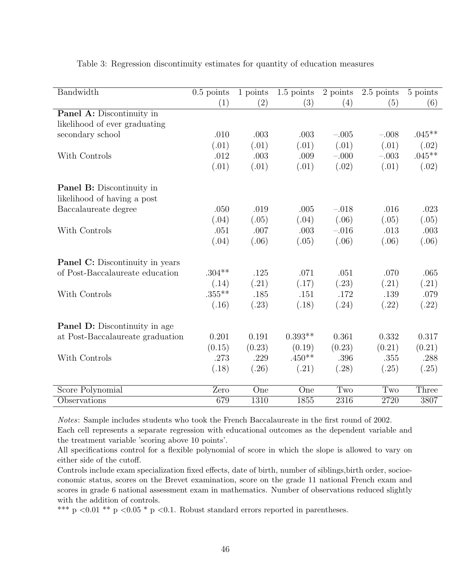| Bandwidth                              | $0.5$ points | $1$ points | $1.5$ points | $\overline{2 \text{ points}}$ | $\overline{2.5}$ points | 5 points |
|----------------------------------------|--------------|------------|--------------|-------------------------------|-------------------------|----------|
|                                        | (1)          | (2)        | (3)          | (4)                           | (5)                     | (6)      |
| Panel A: Discontinuity in              |              |            |              |                               |                         |          |
| likelihood of ever graduating          |              |            |              |                               |                         |          |
| secondary school                       | .010         | .003       | .003         | $-.005$                       | $-.008$                 | $.045**$ |
|                                        | (.01)        | (.01)      | (.01)        | (.01)                         | (.01)                   | (.02)    |
| With Controls                          | .012         | .003       | .009         | $-.000$                       | $-.003$                 | $.045**$ |
|                                        | (.01)        | (.01)      | (.01)        | (.02)                         | (.01)                   | (.02)    |
| <b>Panel B:</b> Discontinuity in       |              |            |              |                               |                         |          |
| likelihood of having a post            |              |            |              |                               |                         |          |
| Baccalaureate degree                   | .050         | .019       | .005         | $-.018$                       | .016                    | .023     |
|                                        | (.04)        | (.05)      | (.04)        | (.06)                         | (.05)                   | (.05)    |
| With Controls                          | .051         | .007       | .003         | $-.016$                       | .013                    | .003     |
|                                        | (.04)        | (.06)      | (.05)        | (.06)                         | (.06)                   | (.06)    |
| <b>Panel C:</b> Discontinuity in years |              |            |              |                               |                         |          |
| of Post-Baccalaureate education        | $.304**$     | .125       | .071         | .051                          | .070                    | .065     |
|                                        | (.14)        | (.21)      | (.17)        | (.23)                         | (.21)                   | (.21)    |
| With Controls                          | $.355***$    | .185       | .151         | .172                          | .139                    | .079     |
|                                        | (.16)        | (.23)      | (.18)        | (.24)                         | (.22)                   | (.22)    |
| <b>Panel D:</b> Discontinuity in age   |              |            |              |                               |                         |          |
| at Post-Baccalaureate graduation       | 0.201        | 0.191      | $0.393**$    | 0.361                         | 0.332                   | 0.317    |
|                                        | (0.15)       | (0.23)     | (0.19)       | (0.23)                        | (0.21)                  | (0.21)   |
| With Controls                          | .273         | .229       | $.450**$     | .396                          | .355                    | .288     |
|                                        | (.18)        | (.26)      | (.21)        | (.28)                         | (.25)                   | (.25)    |
| Score Polynomial                       | Zero         | One        | One          | Two                           | Two                     | Three    |
| Observations                           | 679          | 1310       | 1855         | 2316                          | 2720                    | 3807     |

Table 3: Regression discontinuity estimates for quantity of education measures

Notes: Sample includes students who took the French Baccalaureate in the first round of 2002.

Each cell represents a separate regression with educational outcomes as the dependent variable and the treatment variable 'scoring above 10 points'.

All specifications control for a flexible polynomial of score in which the slope is allowed to vary on either side of the cutoff.

Controls include exam specialization fixed effects, date of birth, number of siblings,birth order, socioeconomic status, scores on the Brevet examination, score on the grade 11 national French exam and scores in grade 6 national assessment exam in mathematics. Number of observations reduced slightly with the addition of controls.

\*\*\* p  $0.01$  \*\* p  $0.05$  \* p  $0.1$ . Robust standard errors reported in parentheses.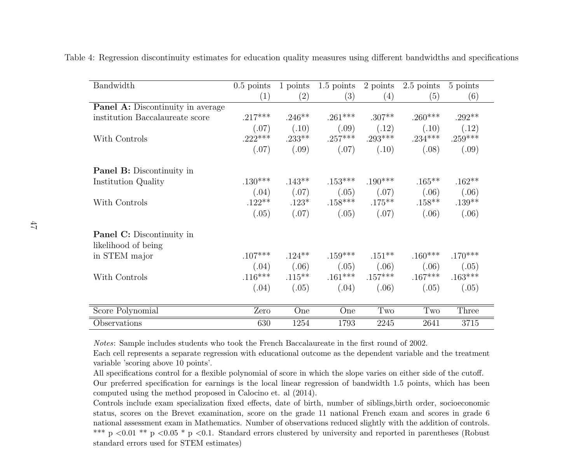| Bandwidth                                | $0.5$ points | 1 points  | $1.5$ points | 2 points  | 2.5 points | 5 points  |
|------------------------------------------|--------------|-----------|--------------|-----------|------------|-----------|
|                                          | (1)          | (2)       | (3)          | (4)       | (5)        | (6)       |
| <b>Panel A:</b> Discontinuity in average |              |           |              |           |            |           |
| institution Baccalaureate score          | $.217***$    | $.246**$  | $.261***$    | $.307**$  | $.260***$  | $.292**$  |
|                                          | (.07)        | (.10)     | (.09)        | (.12)     | (.10)      | (.12)     |
| With Controls                            | $.222***$    | $.233***$ | $.257***$    | $.293***$ | $.234***$  | $.259***$ |
|                                          | (.07)        | (.09)     | (.07)        | (.10)     | (.08)      | (.09)     |
| <b>Panel B:</b> Discontinuity in         |              |           |              |           |            |           |
| Institution Quality                      | $.130***$    | $.143***$ | $.153***$    | $.190***$ | $.165***$  | $.162**$  |
|                                          | (.04)        | (.07)     | (.05)        | (.07)     | (.06)      | (.06)     |
| With Controls                            | $.122**$     | $.123*$   | $.158***$    | $.175***$ | $.158***$  | $.139**$  |
|                                          | (.05)        | (.07)     | (.05)        | (.07)     | (.06)      | (.06)     |
| <b>Panel C:</b> Discontinuity in         |              |           |              |           |            |           |
| likelihood of being                      |              |           |              |           |            |           |
| in STEM major                            | $.107***$    | $.124***$ | $.159***$    | $.151***$ | $.160***$  | $.170***$ |
|                                          | (.04)        | (.06)     | (.05)        | (.06)     | (.06)      | (.05)     |
| With Controls                            | $.116***$    | $.115***$ | $.161***$    | $.157***$ | $.167***$  | $.163***$ |
|                                          | (.04)        | (.05)     | (.04)        | (.06)     | (.05)      | (.05)     |
| Score Polynomial                         | Zero         | One       | One          | Two       | Two        | Three     |
| Observations                             | 630          | 1254      | 1793         | 2245      | 2641       | 3715      |

Table 4: Regression discontinuity estimates for education quality measures using different bandwidths and specifications

Notes: Sample includes students who took the French Baccalaureate in the first round of 2002.

Each cell represents <sup>a</sup> separate regression with educational outcome as the dependent variable and the treatmentvariable 'scoring above 10 points'.

 All specifications control for <sup>a</sup> flexible polynomial of score in which the slope varies on either side of the cutoff. Our preferred specification for earnings is the local linear regression of bandwidth 1.5 points, which has beencomputed using the method proposed in Calocino et. al (2014).

Controls include exam specialization fixed effects, date of birth, number of siblings,birth order, socioeconomic status, scores on the Brevet examination, score on the grade 11 national French exam and scores in grade 6 national assessment exam in Mathematics. Number of observations reduced slightly with the addition of controls.\*\*\* p <0.01 \*\* p <0.05 \* p <0.1. Standard errors clustered by university and reported in parentheses (Robust standard errors used for STEM estimates)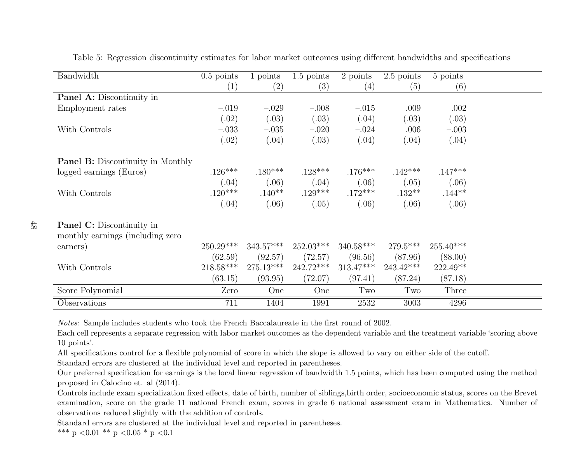| Bandwidth                                | $0.5$ points | 1 points    | $1.5$ points | 2 points    | 2.5 points  | 5 points    |  |
|------------------------------------------|--------------|-------------|--------------|-------------|-------------|-------------|--|
|                                          | (1)          | (2)         | (3)          | (4)         | (5)         | (6)         |  |
| <b>Panel A:</b> Discontinuity in         |              |             |              |             |             |             |  |
| Employment rates                         | $-.019$      | $-.029$     | $-.008$      | $-.015$     | .009        | .002        |  |
|                                          | (.02)        | (.03)       | (.03)        | (.04)       | (.03)       | (.03)       |  |
| With Controls                            | $-.033$      | $-.035$     | $-.020$      | $-.024$     | .006        | $-.003$     |  |
|                                          | (.02)        | (.04)       | (.03)        | (.04)       | (.04)       | (.04)       |  |
| <b>Panel B:</b> Discontinuity in Monthly |              |             |              |             |             |             |  |
| logged earnings (Euros)                  | $.126***$    | $.180***$   | $.128***$    | $.176***$   | $.142***$   | $.147***$   |  |
|                                          | (.04)        | (.06)       | (.04)        | (.06)       | (.05)       | (.06)       |  |
| With Controls                            | $.120***$    | $.140**$    | $.129***$    | $.172***$   | $.132**$    | $.144**$    |  |
|                                          | (.04)        | (.06)       | (.05)        | (.06)       | (.06)       | (.06)       |  |
| <b>Panel C:</b> Discontinuity in         |              |             |              |             |             |             |  |
| monthly earnings (including zero         |              |             |              |             |             |             |  |
| earners)                                 | $250.29***$  | $343.57***$ | $252.03***$  | $340.58***$ | $279.5***$  | $255.40***$ |  |
|                                          | (62.59)      | (92.57)     | (72.57)      | (96.56)     | (87.96)     | (88.00)     |  |
| With Controls                            | $218.58***$  | $275.13***$ | $242.72***$  | $313.47***$ | $243.42***$ | $222.49**$  |  |
|                                          | (63.15)      | (93.95)     | (72.07)      | (97.41)     | (87.24)     | (87.18)     |  |
| Score Polynomial                         | Zero         | One         | One          | Two         | Two         | Three       |  |
| Observations                             | 711          | 1404        | 1991         | 2532        | 3003        | 4296        |  |

Table 5: Regression discontinuity estimates for labor market outcomes using different bandwidths and specifications

Notes: Sample includes students who took the French Baccalaureate in the first round of 2002.

Each cell represents <sup>a</sup> separate regression with labor market outcomes as the dependent variable and the treatment variable 'scoring above10 points'.

All specifications control for <sup>a</sup> flexible polynomial of score in which the slope is allowed to vary on either side of the cutoff.

Standard errors are clustered at the individual level and reported in parentheses.

 Our preferred specification for earnings is the local linear regression of bandwidth 1.5 points, which has been computed using the methodproposed in Calocino et. al (2014).

 Controls include exam specialization fixed effects, date of birth, number of siblings,birth order, socioeconomic status, scores on the Brevet examination, score on the grade 11 national French exam, scores in grade 6 national assessment exam in Mathematics. Number ofobservations reduced slightly with the addition of controls.

Standard errors are clustered at the individual level and reported in parentheses.

\*\*\* p < 0.01 \*\* p < 0.05 \* p < 0.1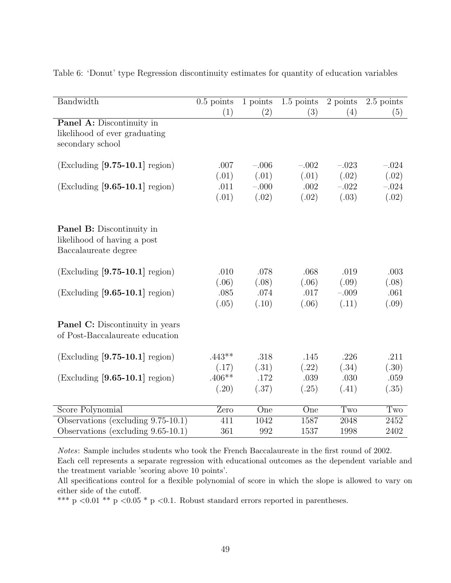| Bandwidth                              | $0.5$ points | 1 points | $1.5$ points | 2 points | $2.5$ points |
|----------------------------------------|--------------|----------|--------------|----------|--------------|
|                                        | (1)          | (2)      | (3)          | (4)      | (5)          |
| Panel A: Discontinuity in              |              |          |              |          |              |
| likelihood of ever graduating          |              |          |              |          |              |
| secondary school                       |              |          |              |          |              |
|                                        |              |          |              |          |              |
| $(Excluding [9.75-10.1] region)$       | .007         | $-.006$  | $-.002$      | $-.023$  | $-.024$      |
|                                        | (.01)        | (.01)    | (.01)        | (.02)    | (.02)        |
| $(Excluding [9.65-10.1] region)$       | .011         | $-.000$  | .002         | $-.022$  | $-.024$      |
|                                        | (.01)        | (.02)    | (.02)        | (.03)    | (.02)        |
|                                        |              |          |              |          |              |
|                                        |              |          |              |          |              |
| <b>Panel B:</b> Discontinuity in       |              |          |              |          |              |
| likelihood of having a post            |              |          |              |          |              |
| Baccalaureate degree                   |              |          |              |          |              |
| $(Excluding [9.75-10.1] region)$       | .010         | .078     | .068         | .019     | .003         |
|                                        | (.06)        | (.08)    | (.06)        | (.09)    | (.08)        |
| $(Excluding [9.65-10.1] region)$       | .085         | .074     | .017         | $-.009$  | .061         |
|                                        | (.05)        | (.10)    | (.06)        | (.11)    | (.09)        |
|                                        |              |          |              |          |              |
| <b>Panel C:</b> Discontinuity in years |              |          |              |          |              |
| of Post-Baccalaureate education        |              |          |              |          |              |
|                                        |              |          |              |          |              |
| $(Excluding [9.75-10.1] region)$       | $.443**$     | .318     | .145         | .226     | .211         |
|                                        | (.17)        | (.31)    | (.22)        | (.34)    | (.30)        |
| $(Excluding [9.65-10.1] region)$       | $.406**$     | .172     | .039         | .030     | .059         |
|                                        | (.20)        | (.37)    | (.25)        | (.41)    | (.35)        |
|                                        |              |          |              |          |              |
| Score Polynomial                       | Zero         | One      | One          | Two      | Two          |
| Observations (excluding $9.75-10.1$ )  | 411          | 1042     | 1587         | 2048     | 2452         |
| Observations (excluding $9.65-10.1$ )  | 361          | 992      | 1537         | 1998     | 2402         |

Table 6: 'Donut' type Regression discontinuity estimates for quantity of education variables

Notes: Sample includes students who took the French Baccalaureate in the first round of 2002. Each cell represents a separate regression with educational outcomes as the dependent variable and

the treatment variable 'scoring above 10 points'.

All specifications control for a flexible polynomial of score in which the slope is allowed to vary on either side of the cutoff.

\*\*\* p <0.01 \*\* p <0.05 \* p <0.1. Robust standard errors reported in parentheses.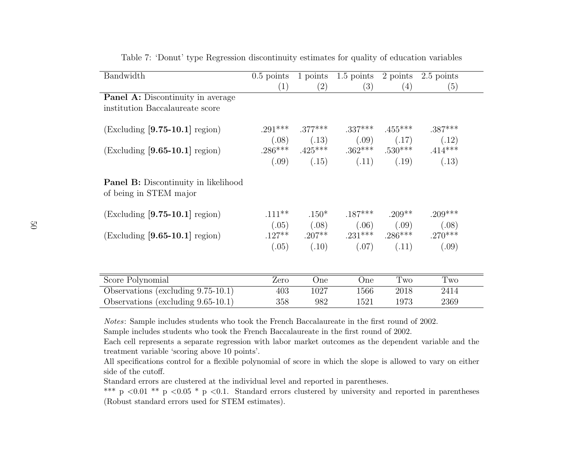| Bandwidth                                                             | $0.5$ points | 1 points            | $1.5$ points                            | 2 points  | 2.5 points |
|-----------------------------------------------------------------------|--------------|---------------------|-----------------------------------------|-----------|------------|
|                                                                       | (1)          | $\left( 2\right)$   | (3)                                     | (4)       | (5)        |
| <b>Panel A:</b> Discontinuity in average                              |              |                     |                                         |           |            |
| institution Baccalaureate score                                       |              |                     |                                         |           |            |
|                                                                       |              |                     |                                         |           |            |
| $(Excluding [9.75-10.1] region)$                                      |              | $.291***$ $.377***$ | $.337***$                               | $.455***$ | $.387***$  |
|                                                                       |              | $(.08)$ $(.13)$     | (.09)                                   | (.17)     | (.12)      |
| $(Excluding [9.65-10.1] region)$                                      |              |                     | $.286***$ $.425***$ $.362***$ $.530***$ |           | $.414***$  |
|                                                                       | (.09)        | (.15)               | (.11)                                   | (.19)     | (.13)      |
| <b>Panel B:</b> Discontinuity in likelihood<br>of being in STEM major |              |                     |                                         |           |            |
| $(Excluding [9.75-10.1] region)$                                      | $.111***$    | $.150*$             | $.187***$                               | $.209**$  | $.209***$  |
|                                                                       | (.05)        | (.08)               | (.06)                                   | (.09)     | (.08)      |
| $(Excluding [9.65-10.1] region)$                                      |              |                     | $.127***$ $.207***$ $.231***$ $.286***$ |           | $.270***$  |
|                                                                       | (.05)        | (.10)               | (.07)                                   | (.11)     | (.09)      |
|                                                                       |              |                     |                                         |           |            |
| Score Polynomial                                                      | Zero         | One                 | One                                     | Two       | Two        |
| Observations (excluding $9.75-10.1$ )                                 | 403          | 1027                | 1566                                    | 2018      | 2414       |
| Observations (excluding $9.65-10.1$ )                                 | 358          | 982                 | 1521                                    | 1973      | 2369       |

Table 7: 'Donut' type Regression discontinuity estimates for quality of education variables

Notes: Sample includes students who took the French Baccalaureate in the first round of 2002.

Sample includes students who took the French Baccalaureate in the first round of 2002.

 Each cell represents <sup>a</sup> separate regression with labor market outcomes as the dependent variable and thetreatment variable 'scoring above 10 points'.

 All specifications control for <sup>a</sup> flexible polynomial of score in which the slope is allowed to vary on eitherside of the cutoff.

Standard errors are clustered at the individual level and reported in parentheses.

\*\*\* p <0.01 \*\* p <0.05 \* p <0.1. Standard errors clustered by university and reported in parentheses (Robust standard errors used for STEM estimates).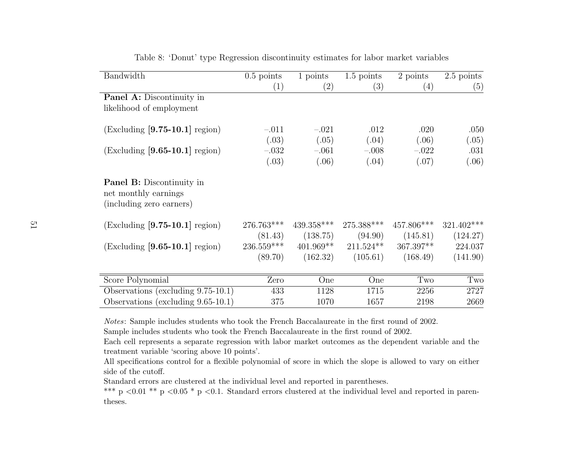| Bandwidth                                                                            | $0.5$ points | 1 points          | $1.5$ points | 2 points    | $2.5$ points |
|--------------------------------------------------------------------------------------|--------------|-------------------|--------------|-------------|--------------|
|                                                                                      | (1)          | $\left( 2\right)$ | (3)          | (4)         | (5)          |
| <b>Panel A:</b> Discontinuity in                                                     |              |                   |              |             |              |
| likelihood of employment                                                             |              |                   |              |             |              |
| $(Excluding [9.75-10.1] region)$                                                     | $-.011$      | $-.021$           | .012         | .020        | .050         |
|                                                                                      | (.03)        | (.05)             | (.04)        | (.06)       | (.05)        |
| $(Excluding [9.65-10.1] region)$                                                     | $-.032$      | $-.061$           | $-.008$      | $-.022$     | .031         |
|                                                                                      | (.03)        | (.06)             | (.04)        | (.07)       | (.06)        |
|                                                                                      |              |                   |              |             |              |
| <b>Panel B:</b> Discontinuity in<br>net monthly earnings<br>(including zero earners) |              |                   |              |             |              |
| $(Excluding [9.75-10.1] region)$                                                     | 276.763***   | $439.358***$      | 275.388***   | 457.806***  | 321.402***   |
|                                                                                      | (81.43)      | (138.75)          | (94.90)      | (145.81)    | (124.27)     |
| $(Excluding [9.65-10.1] region)$                                                     | 236.559***   | $401.969**$       | $211.524**$  | $367.397**$ | 224.037      |
|                                                                                      | (89.70)      | (162.32)          | (105.61)     | (168.49)    | (141.90)     |
|                                                                                      |              |                   |              |             |              |
| Score Polynomial                                                                     | Zero         | One               | One          | Two         | Two          |
| Observations (excluding $9.75-10.1$ )                                                | 433          | 1128              | 1715         | 2256        | 2727         |
| Observations (excluding $9.65-10.1$ )                                                | 375          | 1070              | 1657         | 2198        | 2669         |

Table 8: 'Donut' type Regression discontinuity estimates for labor market variables

Notes: Sample includes students who took the French Baccalaureate in the first round of 2002.

Sample includes students who took the French Baccalaureate in the first round of 2002.

 Each cell represents <sup>a</sup> separate regression with labor market outcomes as the dependent variable and thetreatment variable 'scoring above 10 points'.

 All specifications control for <sup>a</sup> flexible polynomial of score in which the slope is allowed to vary on eitherside of the cutoff.

Standard errors are clustered at the individual level and reported in parentheses.

\*\*\* p <0.01 \*\* p <0.05 \* p <0.1. Standard errors clustered at the individual level and reported in parentheses.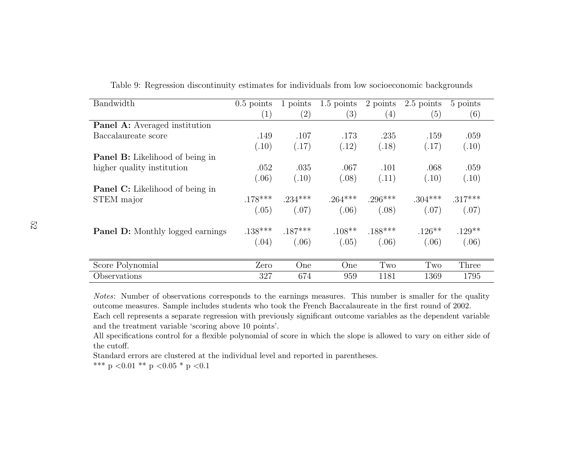| Bandwidth                               | $0.5$ points      | 1 points          | $1.5$ points | 2 points  | 2.5 points | 5 points  |  |
|-----------------------------------------|-------------------|-------------------|--------------|-----------|------------|-----------|--|
|                                         | $\left( 1\right)$ | $\left( 2\right)$ | (3)          | (4)       | (5)        | (6)       |  |
| <b>Panel A:</b> Averaged institution    |                   |                   |              |           |            |           |  |
| Baccalaureate score                     | .149              | .107              | .173         | .235      | .159       | .059      |  |
|                                         | (.10)             | (.17)             | (.12)        | (.18)     | (.17)      | (.10)     |  |
| <b>Panel B:</b> Likelihood of being in  |                   |                   |              |           |            |           |  |
| higher quality institution              | .052              | .035              | .067         | .101      | .068       | .059      |  |
|                                         | (.06)             | (.10)             | (.08)        | (.11)     | (.10)      | (.10)     |  |
| <b>Panel C:</b> Likelihood of being in  |                   |                   |              |           |            |           |  |
| STEM major                              | $.178***$         | $.234***$         | $.264***$    | $.296***$ | $.304***$  | $.317***$ |  |
|                                         | (.05)             | (.07)             | (.06)        | (.08)     | (.07)      | (.07)     |  |
| <b>Panel D:</b> Monthly logged earnings | $.138***$         | $.187***$         | $.108**$     | $.188***$ | $.126***$  | $.129**$  |  |
|                                         | (.04)             | (.06)             | (.05)        | (.06)     | (.06)      | (.06)     |  |
|                                         |                   |                   |              |           |            |           |  |
| Score Polynomial                        | Zero              | One               | One          | Two       | Two        | Three     |  |
| Observations                            | 327               | 674               | 959          | 1181      | 1369       | 1795      |  |

Table 9: Regression discontinuity estimates for individuals from low socioeconomic backgrounds

Notes: Number of observations corresponds to the earnings measures. This number is smaller for the qualityoutcome measures. Sample includes students who took the French Baccalaureate in the first round of 2002.Each cell represents <sup>a</sup> separate regression with previously significant outcome variables as the dependent variableand the treatment variable 'scoring above 10 points'.

 All specifications control for <sup>a</sup> flexible polynomial of score in which the slope is allowed to vary on either side ofthe cutoff.

Standard errors are clustered at the individual level and reported in parentheses.

\*\*\* p < 0.01 \*\* p < 0.05 \* p < 0.1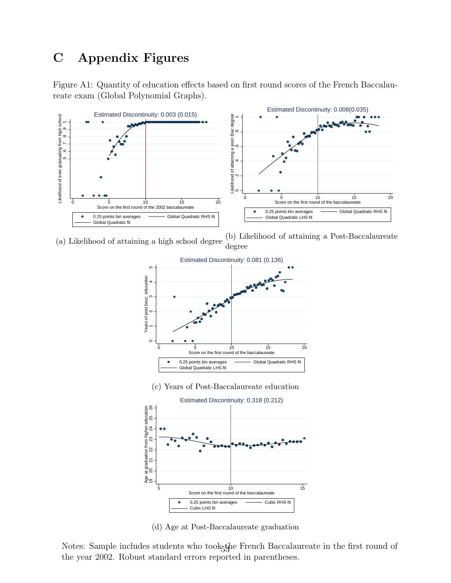# C Appendix Figures

Figure A1: Quantity of education effects based on first round scores of the French Baccalaureate exam (Global Polynomial Graphs).



(a) Likelihood of attaining a high school degree (b) Likelihood of attaining a Post-Baccalaureate degree



(d) Age at Post-Baccalaureate graduation

Notes: Sample includes students who took<sub>5</sub>the French Baccalaureate in the first round of the year 2002. Robust standard errors reported in parentheses.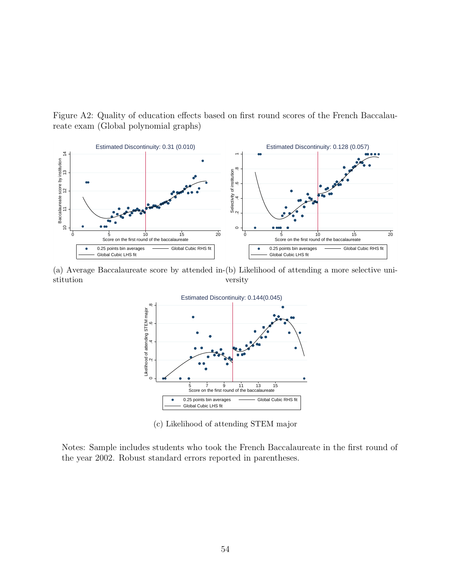Figure A2: Quality of education effects based on first round scores of the French Baccalaureate exam (Global polynomial graphs)



(a) Average Baccalaureate score by attended in-(b) Likelihood of attending a more selective unistitution versity



(c) Likelihood of attending STEM major

Notes: Sample includes students who took the French Baccalaureate in the first round of the year 2002. Robust standard errors reported in parentheses.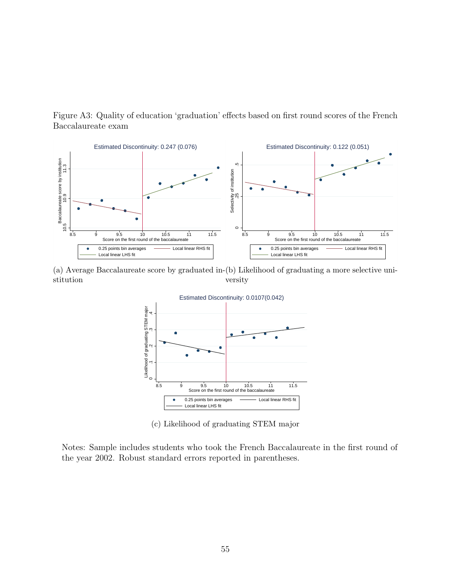Figure A3: Quality of education 'graduation' effects based on first round scores of the French Baccalaureate exam



(a) Average Baccalaureate score by graduated in-(b) Likelihood of graduating a more selective unistitution versity



(c) Likelihood of graduating STEM major

Notes: Sample includes students who took the French Baccalaureate in the first round of the year 2002. Robust standard errors reported in parentheses.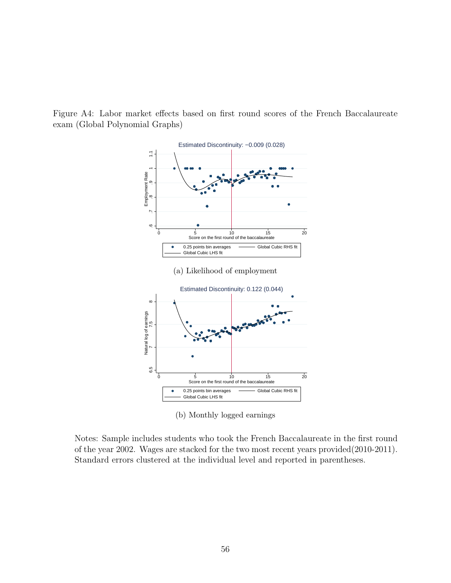

Figure A4: Labor market effects based on first round scores of the French Baccalaureate exam (Global Polynomial Graphs)

(b) Monthly logged earnings

Notes: Sample includes students who took the French Baccalaureate in the first round of the year 2002. Wages are stacked for the two most recent years provided(2010-2011). Standard errors clustered at the individual level and reported in parentheses.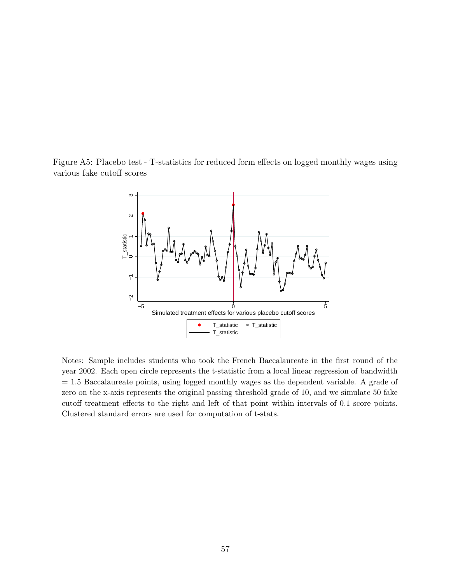Figure A5: Placebo test - T-statistics for reduced form effects on logged monthly wages using various fake cutoff scores



Notes: Sample includes students who took the French Baccalaureate in the first round of the year 2002. Each open circle represents the t-statistic from a local linear regression of bandwidth  $= 1.5$  Baccalaureate points, using logged monthly wages as the dependent variable. A grade of zero on the x-axis represents the original passing threshold grade of 10, and we simulate 50 fake cutoff treatment effects to the right and left of that point within intervals of 0.1 score points. Clustered standard errors are used for computation of t-stats.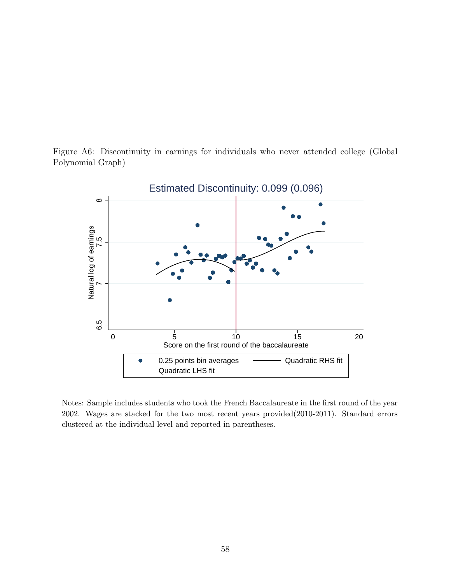



Notes: Sample includes students who took the French Baccalaureate in the first round of the year 2002. Wages are stacked for the two most recent years provided(2010-2011). Standard errors clustered at the individual level and reported in parentheses.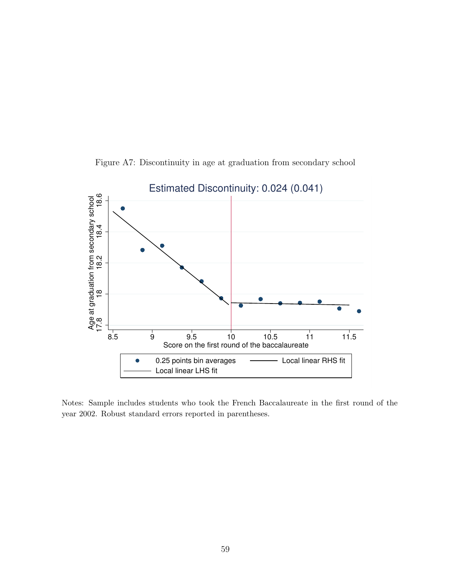

Figure A7: Discontinuity in age at graduation from secondary school

Notes: Sample includes students who took the French Baccalaureate in the first round of the year 2002. Robust standard errors reported in parentheses.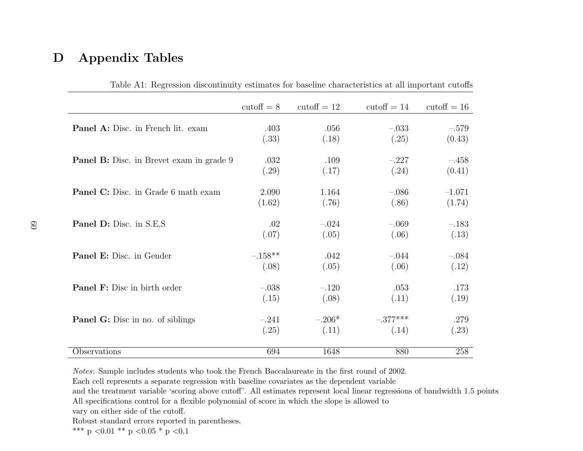## D Appendix Tables

|                                                 | $\text{cutoff} = 8$ | cutoff $= 12$ | $\text{cutoff} = 14$ | cutoff $= 16$ |
|-------------------------------------------------|---------------------|---------------|----------------------|---------------|
|                                                 |                     |               |                      |               |
| <b>Panel A:</b> Disc. in French lit. exam       | .403                | .056          | $-.033$              | $-.579$       |
|                                                 | (.33)               | (.18)         | (.25)                | (0.43)        |
| <b>Panel B:</b> Disc. in Brevet exam in grade 9 | .032                | .109          | $-.227$              | $-.458$       |
|                                                 | (.29)               | (.17)         | (.24)                | (0.41)        |
| <b>Panel C:</b> Disc. in Grade 6 math exam      | 2.090               | 1.164         | $-.086$              | $-1.071$      |
|                                                 | (1.62)              | (.76)         | (.86)                | (1.74)        |
| <b>Panel D:</b> Disc. in S.E.S.                 | .02                 | $-.024$       | $-.069$              | $-.183$       |
|                                                 | (.07)               | (.05)         | (.06)                | (.13)         |
| Panel E: Disc. in Gender                        | $-.158**$           | .042          | $-.044$              | $-.084$       |
|                                                 | (.08)               | (.05)         | (.06)                | (.12)         |
| <b>Panel F:</b> Disc in birth order             | $-.038$             | $-.120$       | .053                 | .173          |
|                                                 | (.15)               | (.08)         | (.11)                | (.19)         |
| <b>Panel G:</b> Disc in no. of siblings         | $-.241$             | $-.206*$      | $-.377***$           | .279          |
|                                                 |                     |               |                      |               |
|                                                 | (.25)               | (.11)         | (.14)                | (.23)         |
| Observations                                    | 694                 | 1648          | 880                  | 258           |

Table A1: Regression discontinuity estimates for baseline characteristics at all important cutoffs

Notes: Sample includes students who took the French Baccalaureate in the first round of 2002.

Each cell represents <sup>a</sup> separate regression with baseline covariates as the dependent variable

 and the treatment variable 'scoring above cutoff'. All estimates represent local linear regressions of bandwidth 1.5 pointsAll specifications control for <sup>a</sup> flexible polynomial of score in which the slope is allowed to

vary on either side of the cutoff.

Robust standard errors reported in parentheses.

\*\*\* p <0.01 \*\* p <0.05 \* p <0.1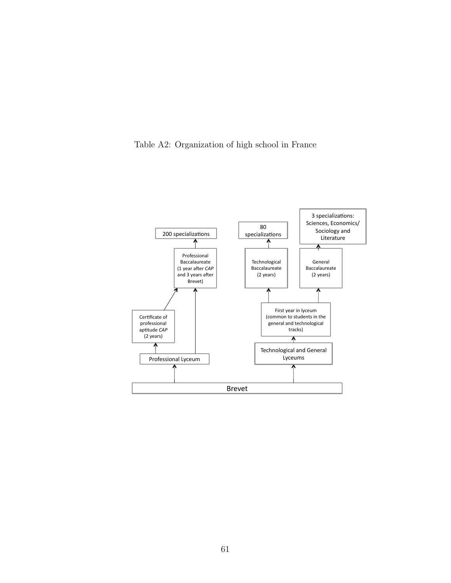Table A2: Organization of high school in France

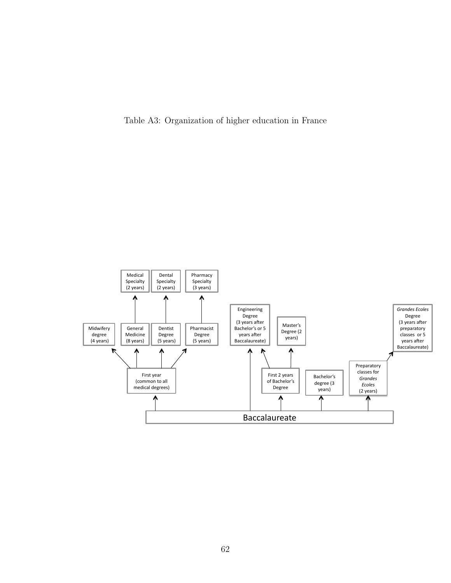Table A3: Organization of higher education in France

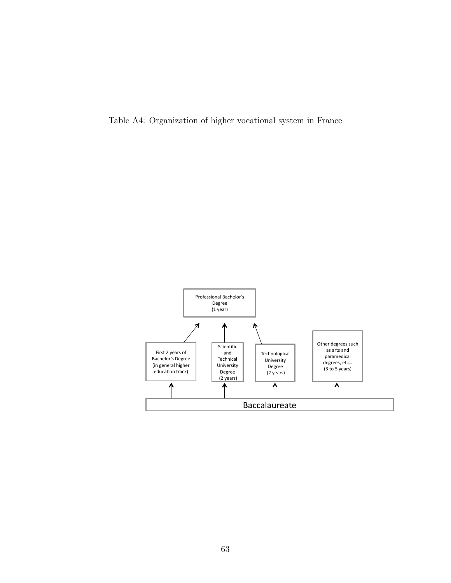Table A4: Organization of higher vocational system in France